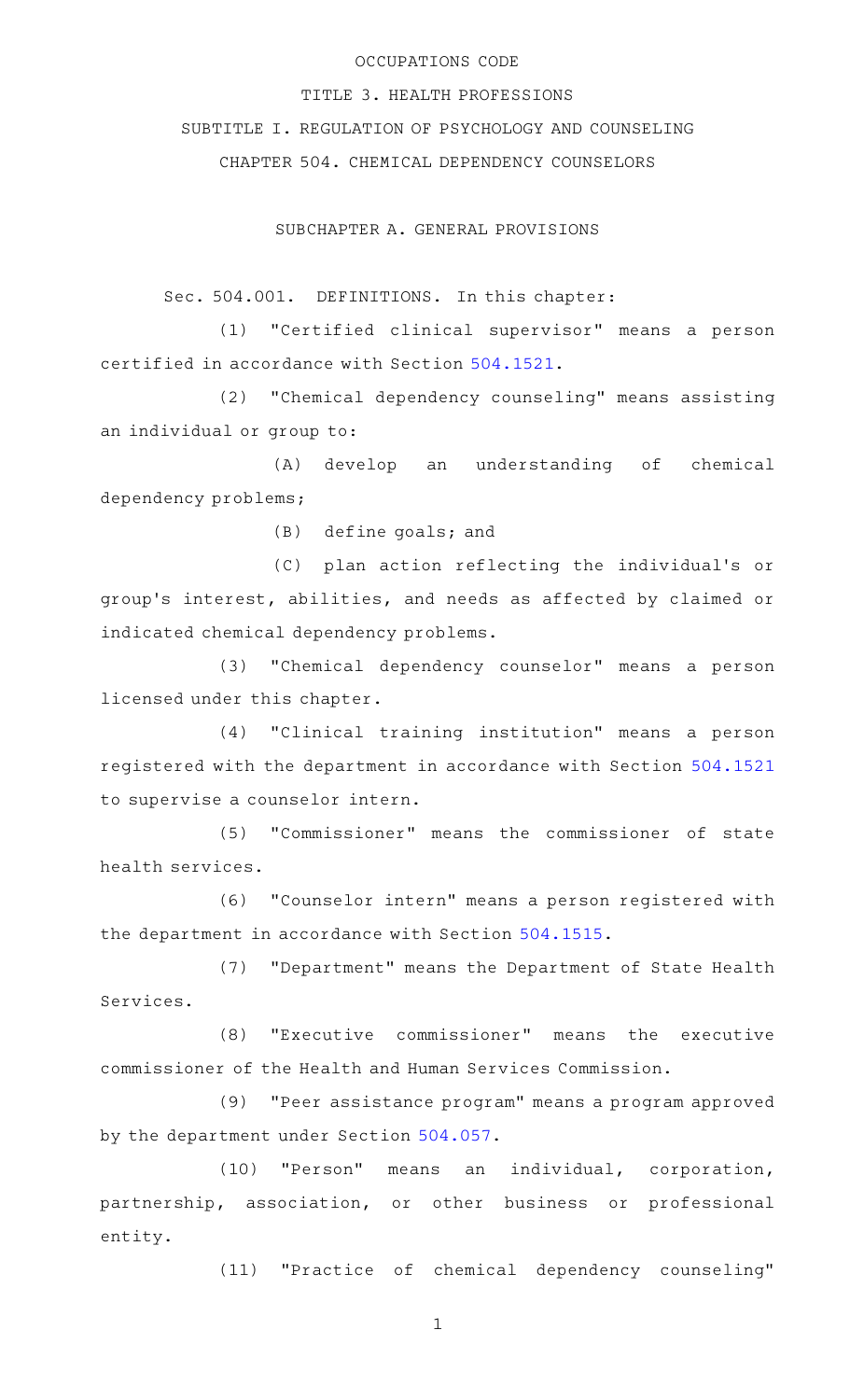### OCCUPATIONS CODE

TITLE 3. HEALTH PROFESSIONS

SUBTITLE I. REGULATION OF PSYCHOLOGY AND COUNSELING

CHAPTER 504. CHEMICAL DEPENDENCY COUNSELORS

SUBCHAPTER A. GENERAL PROVISIONS

Sec. 504.001. DEFINITIONS. In this chapter:

(1) "Certified clinical supervisor" means a person certified in accordance with Section [504.1521](http://www.statutes.legis.state.tx.us/GetStatute.aspx?Code=OC&Value=504.1521).

(2) "Chemical dependency counseling" means assisting an individual or group to:

(A) develop an understanding of chemical dependency problems;

 $(B)$  define goals; and

(C) plan action reflecting the individual's or group 's interest, abilities, and needs as affected by claimed or indicated chemical dependency problems.

(3) "Chemical dependency counselor" means a person licensed under this chapter.

(4) "Clinical training institution" means a person registered with the department in accordance with Section [504.1521](http://www.statutes.legis.state.tx.us/GetStatute.aspx?Code=OC&Value=504.1521) to supervise a counselor intern.

(5) "Commissioner" means the commissioner of state health services.

(6) "Counselor intern" means a person registered with the department in accordance with Section [504.1515](http://www.statutes.legis.state.tx.us/GetStatute.aspx?Code=OC&Value=504.1515).

(7) "Department" means the Department of State Health Services.

(8) "Executive commissioner" means the executive commissioner of the Health and Human Services Commission.

(9) "Peer assistance program" means a program approved by the department under Section [504.057.](http://www.statutes.legis.state.tx.us/GetStatute.aspx?Code=OC&Value=504.057)

(10) "Person" means an individual, corporation, partnership, association, or other business or professional entity.

(11) "Practice of chemical dependency counseling"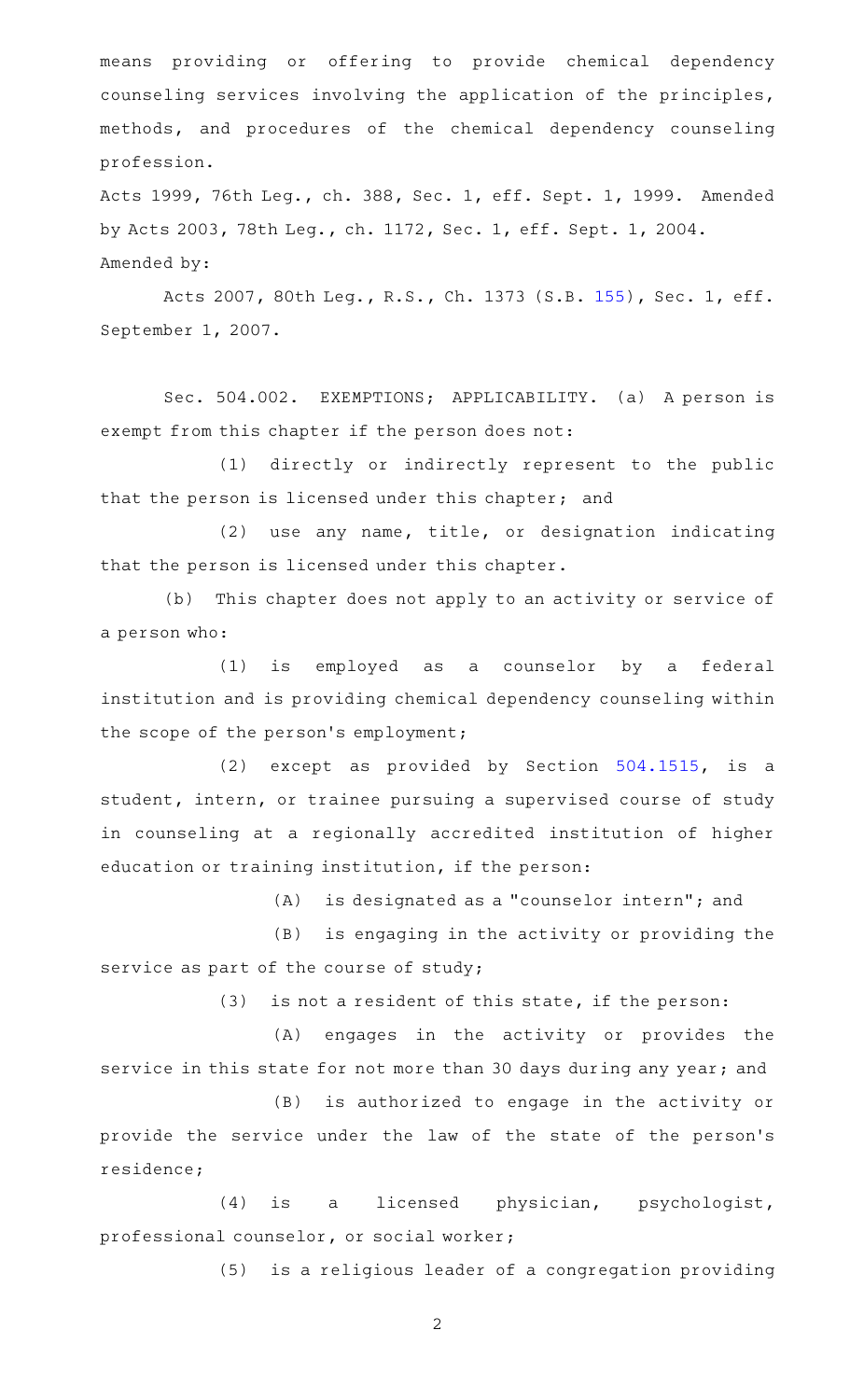means providing or offering to provide chemical dependency counseling services involving the application of the principles, methods, and procedures of the chemical dependency counseling profession.

Acts 1999, 76th Leg., ch. 388, Sec. 1, eff. Sept. 1, 1999. Amended by Acts 2003, 78th Leg., ch. 1172, Sec. 1, eff. Sept. 1, 2004. Amended by:

Acts 2007, 80th Leg., R.S., Ch. 1373 (S.B. [155](http://www.legis.state.tx.us/tlodocs/80R/billtext/html/SB00155F.HTM)), Sec. 1, eff. September 1, 2007.

Sec. 504.002. EXEMPTIONS; APPLICABILITY. (a) A person is exempt from this chapter if the person does not:

(1) directly or indirectly represent to the public that the person is licensed under this chapter; and

 $(2)$  use any name, title, or designation indicating that the person is licensed under this chapter.

(b) This chapter does not apply to an activity or service of a person who:

(1) is employed as a counselor by a federal institution and is providing chemical dependency counseling within the scope of the person's employment;

(2) except as provided by Section  $504.1515$ , is a student, intern, or trainee pursuing a supervised course of study in counseling at a regionally accredited institution of higher education or training institution, if the person:

 $(A)$  is designated as a "counselor intern"; and

(B) is engaging in the activity or providing the service as part of the course of study;

 $(3)$  is not a resident of this state, if the person:

(A) engages in the activity or provides the service in this state for not more than 30 days during any year; and

(B) is authorized to engage in the activity or provide the service under the law of the state of the person 's residence;

(4) is a licensed physician, psychologist, professional counselor, or social worker;

(5) is a religious leader of a congregation providing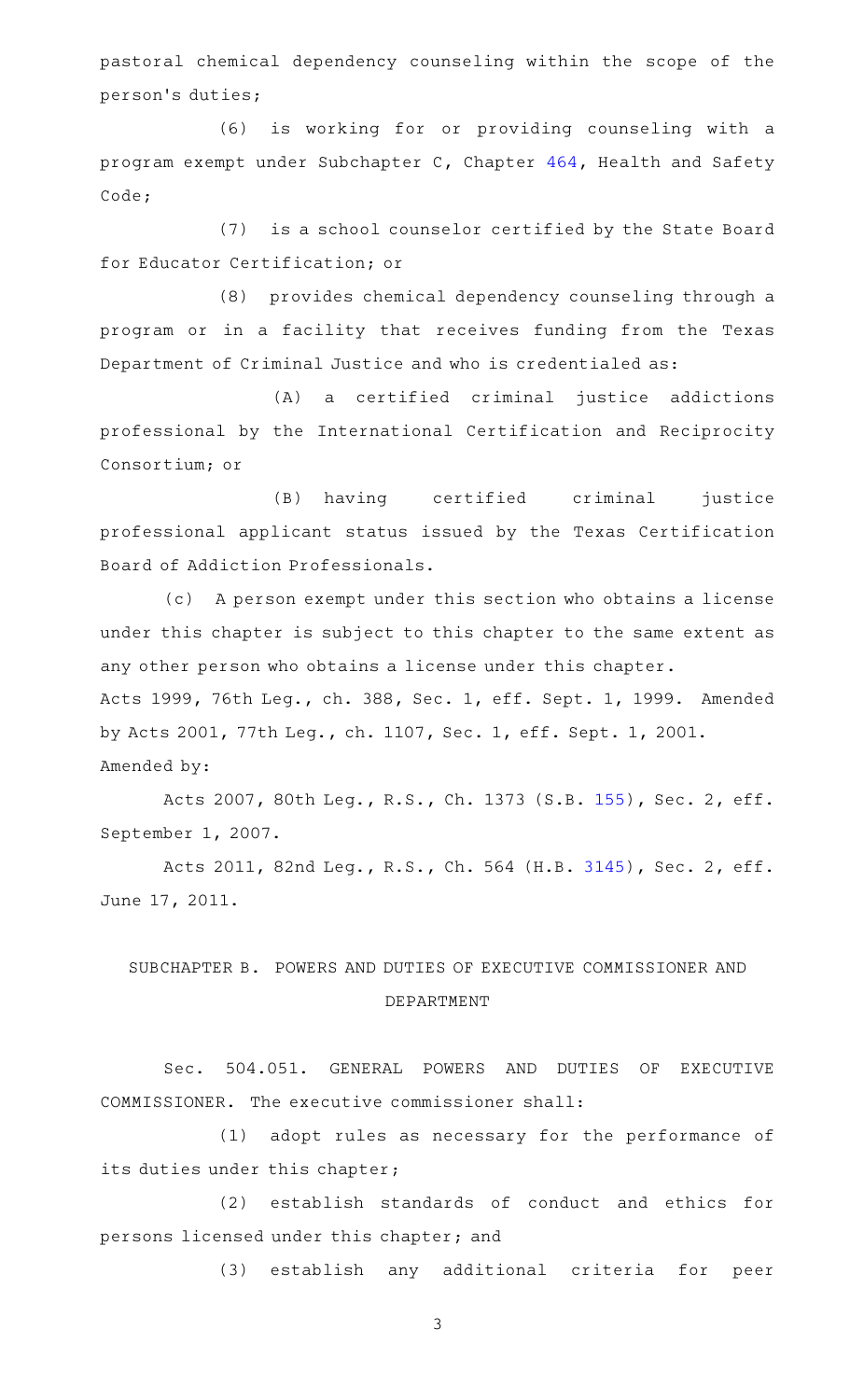pastoral chemical dependency counseling within the scope of the person 's duties;

(6) is working for or providing counseling with a program exempt under Subchapter C, Chapter [464](http://www.statutes.legis.state.tx.us/GetStatute.aspx?Code=HS&Value=464), Health and Safety Code;

(7) is a school counselor certified by the State Board for Educator Certification; or

(8) provides chemical dependency counseling through a program or in a facility that receives funding from the Texas Department of Criminal Justice and who is credentialed as:

(A) a certified criminal justice addictions professional by the International Certification and Reciprocity Consortium; or

(B) having certified criminal justice professional applicant status issued by the Texas Certification Board of Addiction Professionals.

(c) A person exempt under this section who obtains a license under this chapter is subject to this chapter to the same extent as any other person who obtains a license under this chapter. Acts 1999, 76th Leg., ch. 388, Sec. 1, eff. Sept. 1, 1999. Amended by Acts 2001, 77th Leg., ch. 1107, Sec. 1, eff. Sept. 1, 2001. Amended by:

Acts 2007, 80th Leg., R.S., Ch. 1373 (S.B. [155](http://www.legis.state.tx.us/tlodocs/80R/billtext/html/SB00155F.HTM)), Sec. 2, eff. September 1, 2007.

Acts 2011, 82nd Leg., R.S., Ch. 564 (H.B. [3145](http://www.legis.state.tx.us/tlodocs/82R/billtext/html/HB03145F.HTM)), Sec. 2, eff. June 17, 2011.

# SUBCHAPTER B. POWERS AND DUTIES OF EXECUTIVE COMMISSIONER AND DEPARTMENT

Sec. 504.051. GENERAL POWERS AND DUTIES OF EXECUTIVE COMMISSIONER. The executive commissioner shall:

(1) adopt rules as necessary for the performance of its duties under this chapter;

(2) establish standards of conduct and ethics for persons licensed under this chapter; and

(3) establish any additional criteria for peer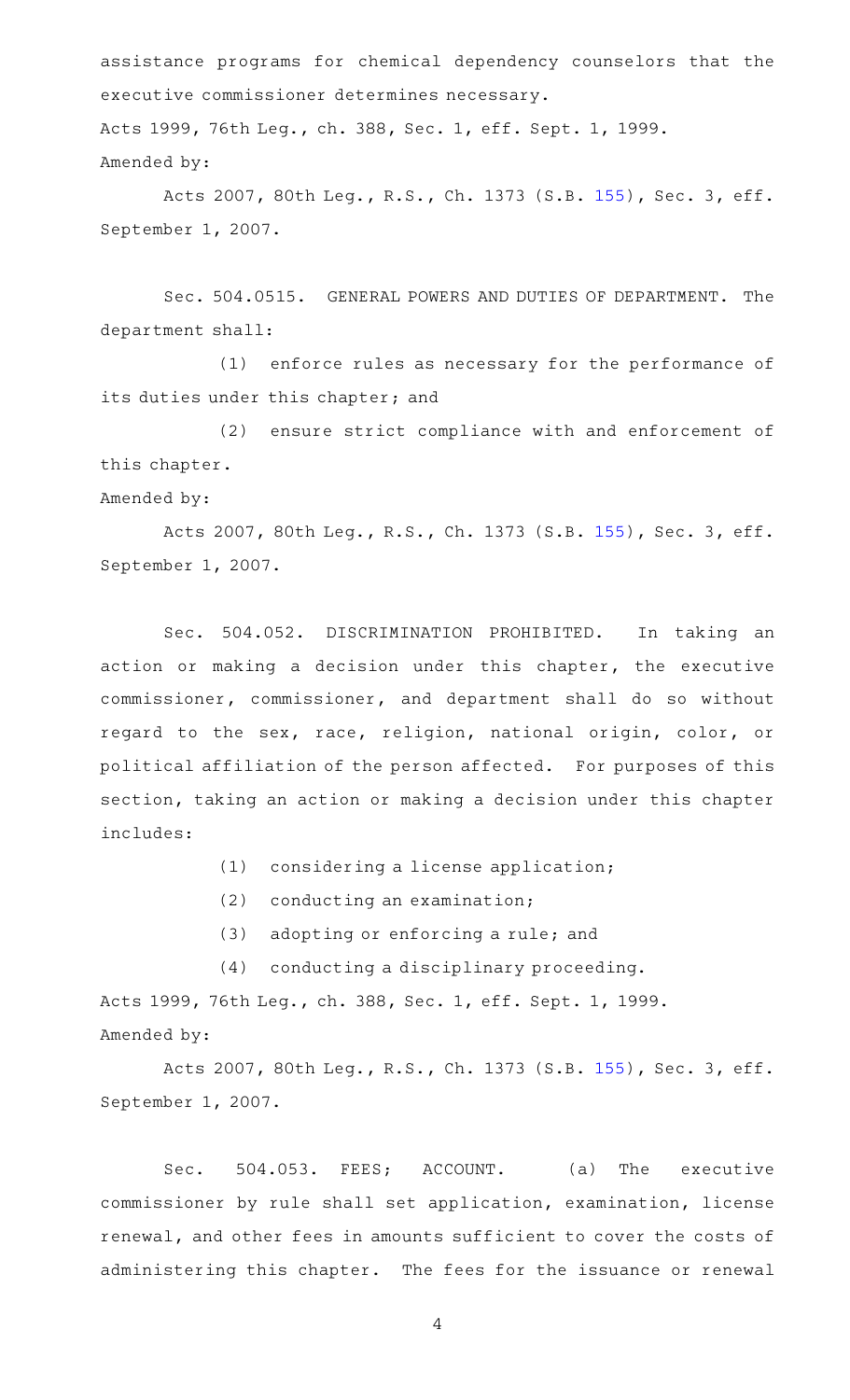assistance programs for chemical dependency counselors that the executive commissioner determines necessary. Acts 1999, 76th Leg., ch. 388, Sec. 1, eff. Sept. 1, 1999. Amended by:

Acts 2007, 80th Leg., R.S., Ch. 1373 (S.B. [155](http://www.legis.state.tx.us/tlodocs/80R/billtext/html/SB00155F.HTM)), Sec. 3, eff. September 1, 2007.

Sec. 504.0515. GENERAL POWERS AND DUTIES OF DEPARTMENT. The department shall:

(1) enforce rules as necessary for the performance of its duties under this chapter; and

(2) ensure strict compliance with and enforcement of this chapter.

Amended by:

Acts 2007, 80th Leg., R.S., Ch. 1373 (S.B. [155](http://www.legis.state.tx.us/tlodocs/80R/billtext/html/SB00155F.HTM)), Sec. 3, eff. September 1, 2007.

Sec. 504.052. DISCRIMINATION PROHIBITED. In taking an action or making a decision under this chapter, the executive commissioner, commissioner, and department shall do so without regard to the sex, race, religion, national origin, color, or political affiliation of the person affected. For purposes of this section, taking an action or making a decision under this chapter includes:

- $(1)$  considering a license application;
- $(2)$  conducting an examination;
- $(3)$  adopting or enforcing a rule; and
- (4) conducting a disciplinary proceeding.

Acts 1999, 76th Leg., ch. 388, Sec. 1, eff. Sept. 1, 1999. Amended by:

Acts 2007, 80th Leg., R.S., Ch. 1373 (S.B. [155](http://www.legis.state.tx.us/tlodocs/80R/billtext/html/SB00155F.HTM)), Sec. 3, eff. September 1, 2007.

Sec. 504.053. FEES; ACCOUNT. (a) The executive commissioner by rule shall set application, examination, license renewal, and other fees in amounts sufficient to cover the costs of administering this chapter. The fees for the issuance or renewal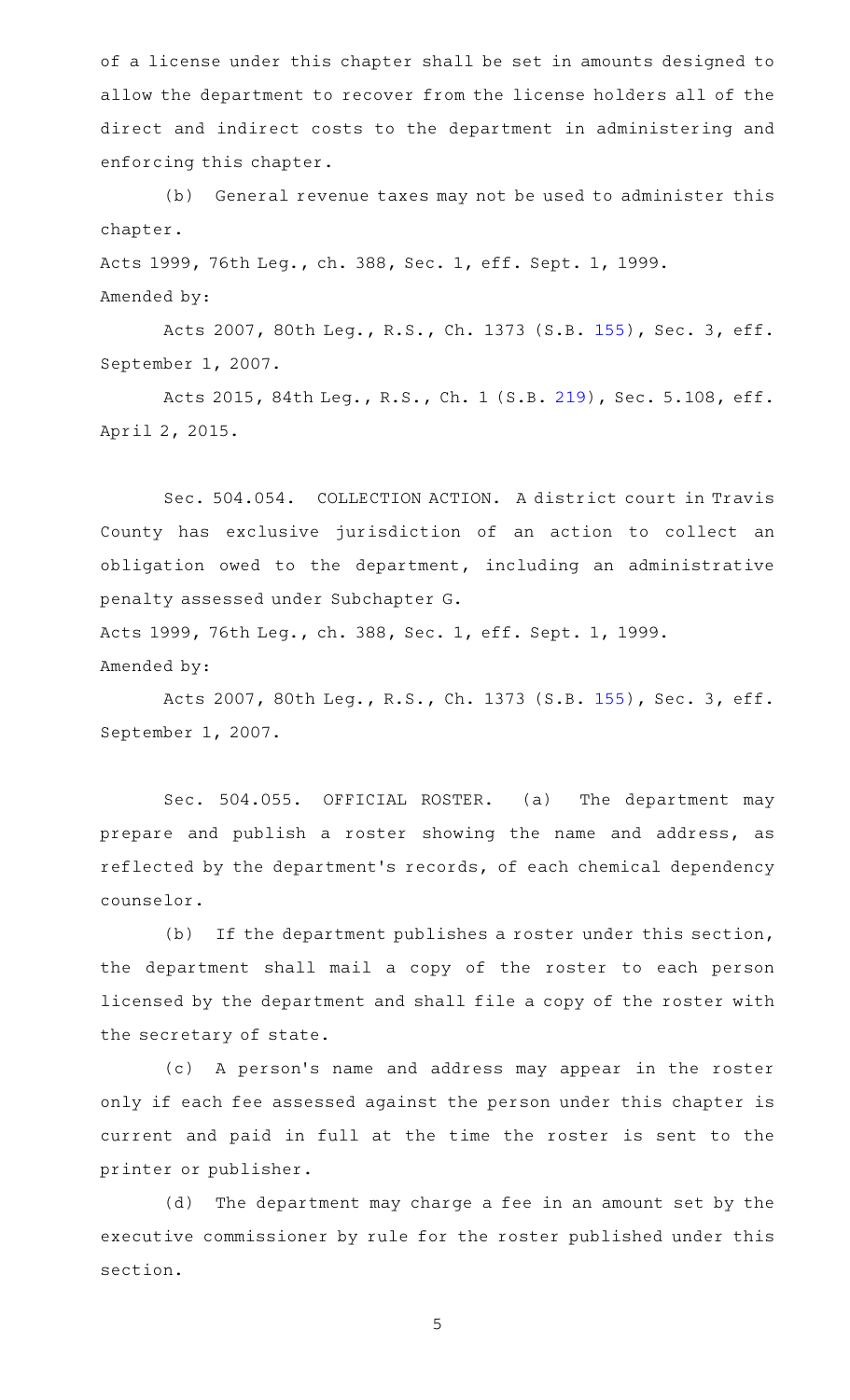of a license under this chapter shall be set in amounts designed to allow the department to recover from the license holders all of the direct and indirect costs to the department in administering and enforcing this chapter.

(b) General revenue taxes may not be used to administer this chapter.

Acts 1999, 76th Leg., ch. 388, Sec. 1, eff. Sept. 1, 1999. Amended by:

Acts 2007, 80th Leg., R.S., Ch. 1373 (S.B. [155](http://www.legis.state.tx.us/tlodocs/80R/billtext/html/SB00155F.HTM)), Sec. 3, eff. September 1, 2007.

Acts 2015, 84th Leg., R.S., Ch. 1 (S.B. [219](http://www.legis.state.tx.us/tlodocs/84R/billtext/html/SB00219F.HTM)), Sec. 5.108, eff. April 2, 2015.

Sec. 504.054. COLLECTION ACTION. A district court in Travis County has exclusive jurisdiction of an action to collect an obligation owed to the department, including an administrative penalty assessed under Subchapter G.

Acts 1999, 76th Leg., ch. 388, Sec. 1, eff. Sept. 1, 1999. Amended by:

Acts 2007, 80th Leg., R.S., Ch. 1373 (S.B. [155](http://www.legis.state.tx.us/tlodocs/80R/billtext/html/SB00155F.HTM)), Sec. 3, eff. September 1, 2007.

Sec. 504.055. OFFICIAL ROSTER. (a) The department may prepare and publish a roster showing the name and address, as reflected by the department 's records, of each chemical dependency counselor.

(b) If the department publishes a roster under this section, the department shall mail a copy of the roster to each person licensed by the department and shall file a copy of the roster with the secretary of state.

(c) A person's name and address may appear in the roster only if each fee assessed against the person under this chapter is current and paid in full at the time the roster is sent to the printer or publisher.

(d) The department may charge a fee in an amount set by the executive commissioner by rule for the roster published under this section.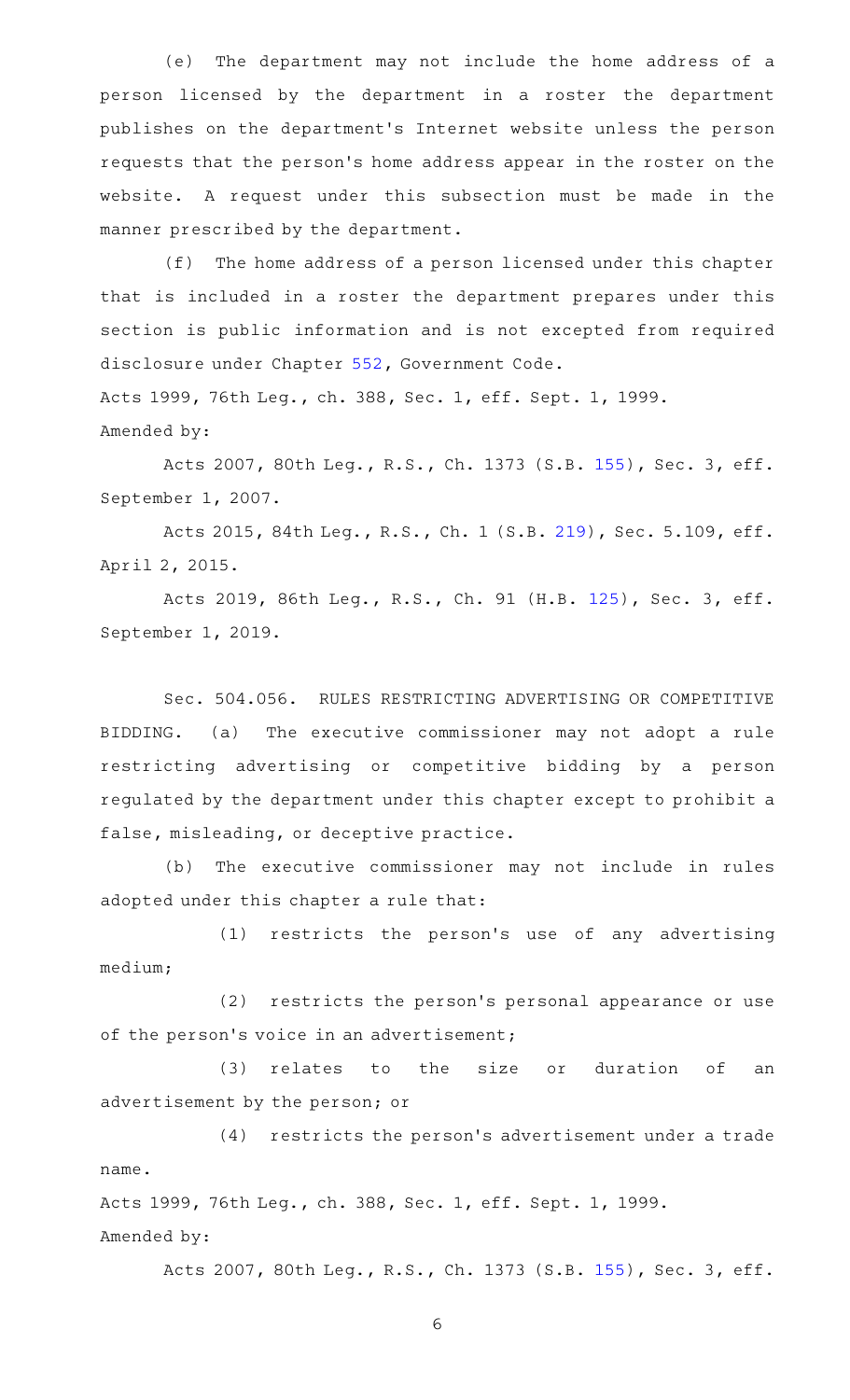(e) The department may not include the home address of a person licensed by the department in a roster the department publishes on the department 's Internet website unless the person requests that the person 's home address appear in the roster on the website. A request under this subsection must be made in the manner prescribed by the department.

(f) The home address of a person licensed under this chapter that is included in a roster the department prepares under this section is public information and is not excepted from required disclosure under Chapter [552,](http://www.statutes.legis.state.tx.us/GetStatute.aspx?Code=GV&Value=552) Government Code. Acts 1999, 76th Leg., ch. 388, Sec. 1, eff. Sept. 1, 1999.

Amended by:

Acts 2007, 80th Leg., R.S., Ch. 1373 (S.B. [155](http://www.legis.state.tx.us/tlodocs/80R/billtext/html/SB00155F.HTM)), Sec. 3, eff. September 1, 2007.

Acts 2015, 84th Leg., R.S., Ch. 1 (S.B. [219](http://www.legis.state.tx.us/tlodocs/84R/billtext/html/SB00219F.HTM)), Sec. 5.109, eff. April 2, 2015.

Acts 2019, 86th Leg., R.S., Ch. 91 (H.B. [125](http://www.legis.state.tx.us/tlodocs/86R/billtext/html/HB00125F.HTM)), Sec. 3, eff. September 1, 2019.

Sec. 504.056. RULES RESTRICTING ADVERTISING OR COMPETITIVE BIDDING. (a) The executive commissioner may not adopt a rule restricting advertising or competitive bidding by a person regulated by the department under this chapter except to prohibit a false, misleading, or deceptive practice.

(b) The executive commissioner may not include in rules adopted under this chapter a rule that:

(1) restricts the person's use of any advertising medium;

(2) restricts the person's personal appearance or use of the person's voice in an advertisement;

(3) relates to the size or duration of an advertisement by the person; or

(4) restricts the person's advertisement under a trade name.

Acts 1999, 76th Leg., ch. 388, Sec. 1, eff. Sept. 1, 1999. Amended by:

Acts 2007, 80th Leg., R.S., Ch. 1373 (S.B. [155](http://www.legis.state.tx.us/tlodocs/80R/billtext/html/SB00155F.HTM)), Sec. 3, eff.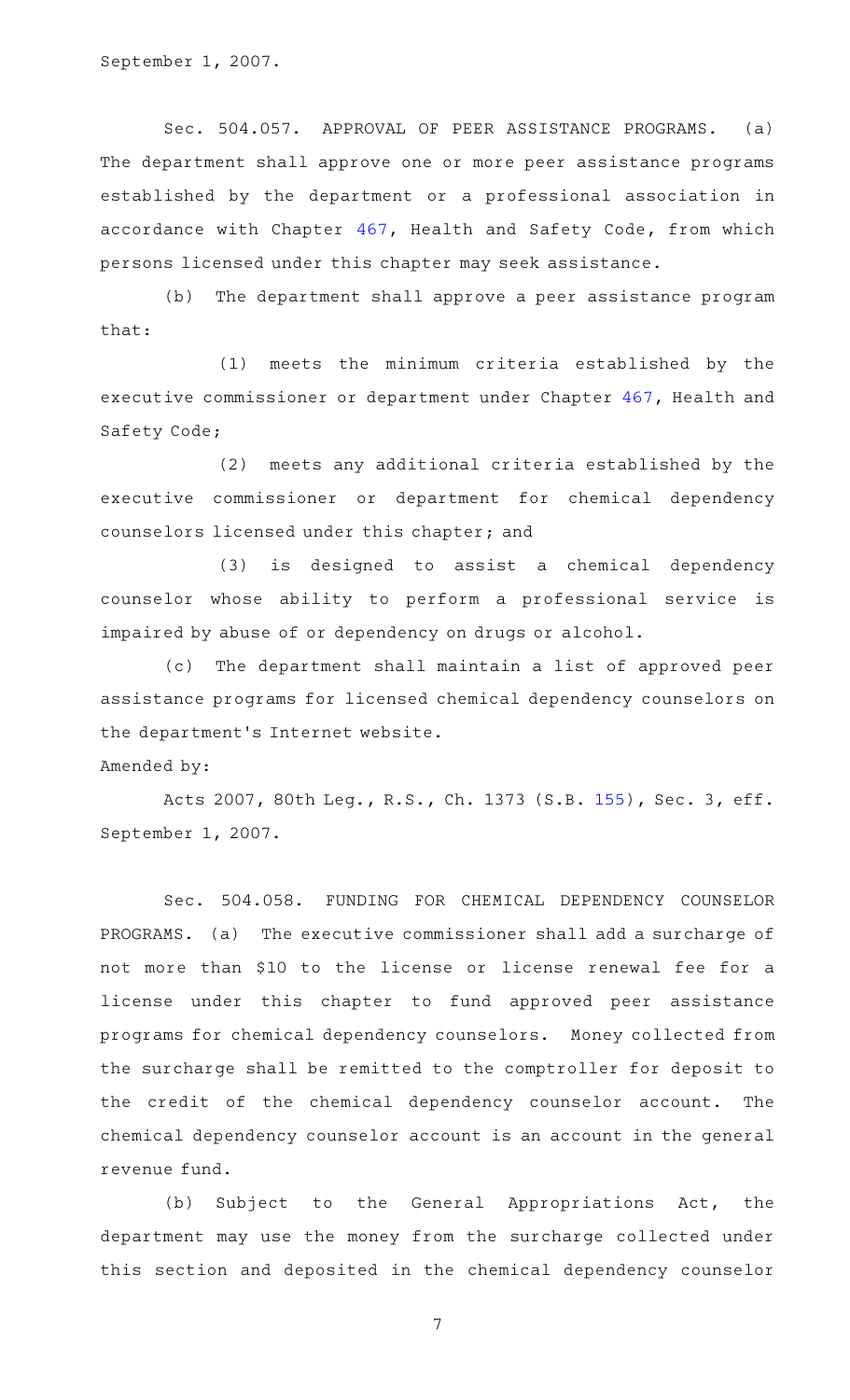September 1, 2007.

Sec. 504.057. APPROVAL OF PEER ASSISTANCE PROGRAMS. (a) The department shall approve one or more peer assistance programs established by the department or a professional association in accordance with Chapter [467](http://www.statutes.legis.state.tx.us/GetStatute.aspx?Code=HS&Value=467), Health and Safety Code, from which persons licensed under this chapter may seek assistance.

(b) The department shall approve a peer assistance program that:

(1) meets the minimum criteria established by the executive commissioner or department under Chapter [467](http://www.statutes.legis.state.tx.us/GetStatute.aspx?Code=HS&Value=467), Health and Safety Code;

(2) meets any additional criteria established by the executive commissioner or department for chemical dependency counselors licensed under this chapter; and

(3) is designed to assist a chemical dependency counselor whose ability to perform a professional service is impaired by abuse of or dependency on drugs or alcohol.

(c) The department shall maintain a list of approved peer assistance programs for licensed chemical dependency counselors on the department 's Internet website.

Amended by:

Acts 2007, 80th Leg., R.S., Ch. 1373 (S.B. [155](http://www.legis.state.tx.us/tlodocs/80R/billtext/html/SB00155F.HTM)), Sec. 3, eff. September 1, 2007.

Sec. 504.058. FUNDING FOR CHEMICAL DEPENDENCY COUNSELOR PROGRAMS. (a) The executive commissioner shall add a surcharge of not more than \$10 to the license or license renewal fee for a license under this chapter to fund approved peer assistance programs for chemical dependency counselors. Money collected from the surcharge shall be remitted to the comptroller for deposit to the credit of the chemical dependency counselor account. The chemical dependency counselor account is an account in the general revenue fund.

(b) Subject to the General Appropriations Act, the department may use the money from the surcharge collected under this section and deposited in the chemical dependency counselor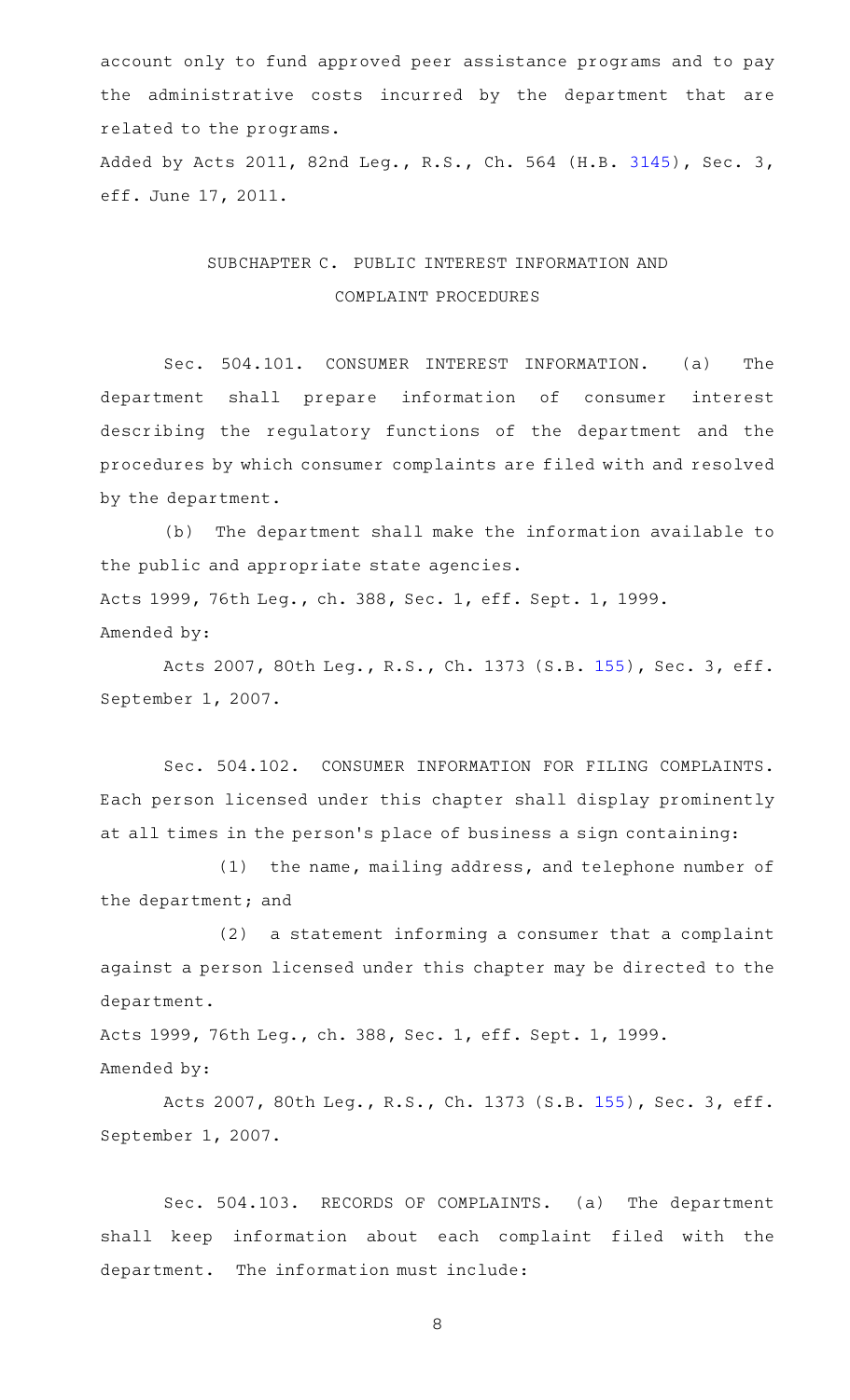account only to fund approved peer assistance programs and to pay the administrative costs incurred by the department that are related to the programs.

Added by Acts 2011, 82nd Leg., R.S., Ch. 564 (H.B. [3145](http://www.legis.state.tx.us/tlodocs/82R/billtext/html/HB03145F.HTM)), Sec. 3, eff. June 17, 2011.

## SUBCHAPTER C. PUBLIC INTEREST INFORMATION AND COMPLAINT PROCEDURES

Sec. 504.101. CONSUMER INTEREST INFORMATION. (a) The department shall prepare information of consumer interest describing the regulatory functions of the department and the procedures by which consumer complaints are filed with and resolved by the department.

(b) The department shall make the information available to the public and appropriate state agencies. Acts 1999, 76th Leg., ch. 388, Sec. 1, eff. Sept. 1, 1999. Amended by:

Acts 2007, 80th Leg., R.S., Ch. 1373 (S.B. [155](http://www.legis.state.tx.us/tlodocs/80R/billtext/html/SB00155F.HTM)), Sec. 3, eff. September 1, 2007.

Sec. 504.102. CONSUMER INFORMATION FOR FILING COMPLAINTS. Each person licensed under this chapter shall display prominently at all times in the person 's place of business a sign containing:

(1) the name, mailing address, and telephone number of the department; and

 $(2)$  a statement informing a consumer that a complaint against a person licensed under this chapter may be directed to the department.

Acts 1999, 76th Leg., ch. 388, Sec. 1, eff. Sept. 1, 1999. Amended by:

Acts 2007, 80th Leg., R.S., Ch. 1373 (S.B. [155](http://www.legis.state.tx.us/tlodocs/80R/billtext/html/SB00155F.HTM)), Sec. 3, eff. September 1, 2007.

Sec. 504.103. RECORDS OF COMPLAINTS. (a) The department shall keep information about each complaint filed with the department. The information must include: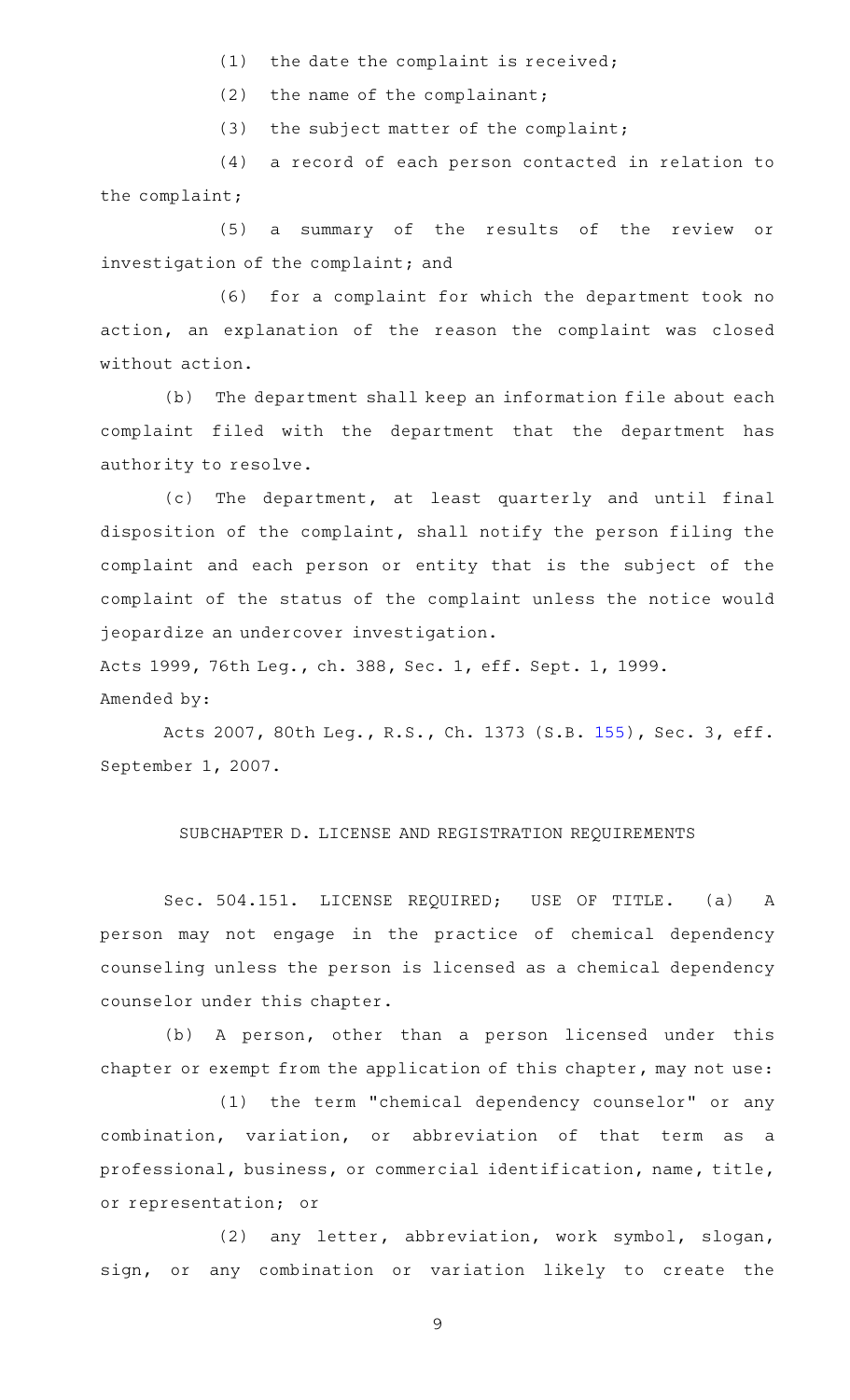- $(1)$  the date the complaint is received;
- (2) the name of the complainant;
- $(3)$  the subject matter of the complaint;

(4) a record of each person contacted in relation to the complaint;

(5) a summary of the results of the review or investigation of the complaint; and

(6) for a complaint for which the department took no action, an explanation of the reason the complaint was closed without action.

(b) The department shall keep an information file about each complaint filed with the department that the department has authority to resolve.

(c) The department, at least quarterly and until final disposition of the complaint, shall notify the person filing the complaint and each person or entity that is the subject of the complaint of the status of the complaint unless the notice would jeopardize an undercover investigation.

Acts 1999, 76th Leg., ch. 388, Sec. 1, eff. Sept. 1, 1999. Amended by:

Acts 2007, 80th Leg., R.S., Ch. 1373 (S.B. [155](http://www.legis.state.tx.us/tlodocs/80R/billtext/html/SB00155F.HTM)), Sec. 3, eff. September 1, 2007.

### SUBCHAPTER D. LICENSE AND REGISTRATION REQUIREMENTS

Sec. 504.151. LICENSE REQUIRED; USE OF TITLE. (a) A person may not engage in the practice of chemical dependency counseling unless the person is licensed as a chemical dependency counselor under this chapter.

(b) A person, other than a person licensed under this chapter or exempt from the application of this chapter, may not use:

(1) the term "chemical dependency counselor" or any combination, variation, or abbreviation of that term as a professional, business, or commercial identification, name, title, or representation; or

(2) any letter, abbreviation, work symbol, slogan, sign, or any combination or variation likely to create the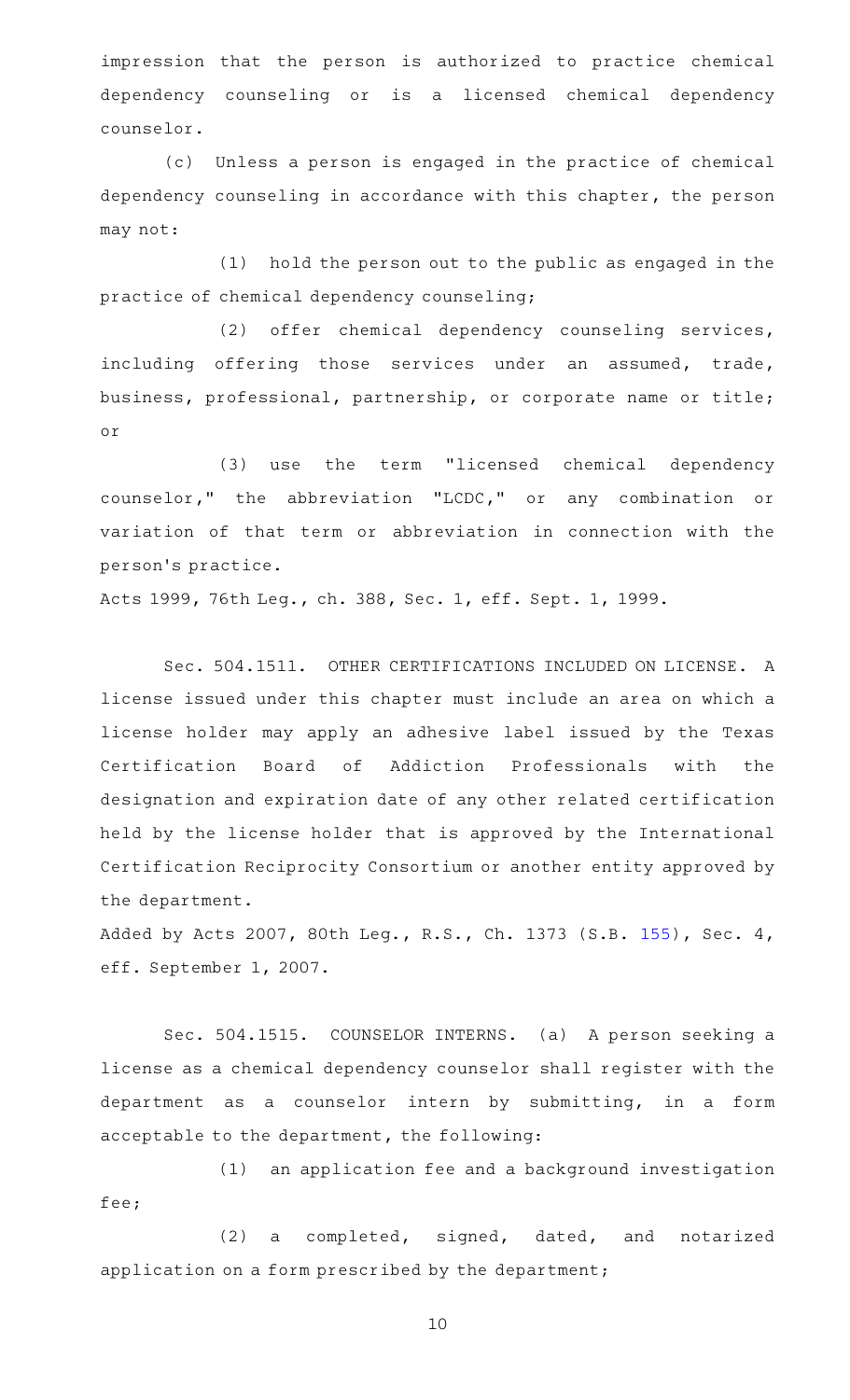impression that the person is authorized to practice chemical dependency counseling or is a licensed chemical dependency counselor.

(c) Unless a person is engaged in the practice of chemical dependency counseling in accordance with this chapter, the person may not:

(1) hold the person out to the public as engaged in the practice of chemical dependency counseling;

(2) offer chemical dependency counseling services, including offering those services under an assumed, trade, business, professional, partnership, or corporate name or title; or

(3) use the term "licensed chemical dependency counselor," the abbreviation "LCDC," or any combination or variation of that term or abbreviation in connection with the person 's practice.

Acts 1999, 76th Leg., ch. 388, Sec. 1, eff. Sept. 1, 1999.

Sec. 504.1511. OTHER CERTIFICATIONS INCLUDED ON LICENSE. A license issued under this chapter must include an area on which a license holder may apply an adhesive label issued by the Texas Certification Board of Addiction Professionals with the designation and expiration date of any other related certification held by the license holder that is approved by the International Certification Reciprocity Consortium or another entity approved by the department.

Added by Acts 2007, 80th Leg., R.S., Ch. 1373 (S.B. [155](http://www.legis.state.tx.us/tlodocs/80R/billtext/html/SB00155F.HTM)), Sec. 4, eff. September 1, 2007.

Sec. 504.1515. COUNSELOR INTERNS. (a) A person seeking a license as a chemical dependency counselor shall register with the department as a counselor intern by submitting, in a form acceptable to the department, the following:

(1) an application fee and a background investigation fee;

(2) a completed, signed, dated, and notarized application on a form prescribed by the department;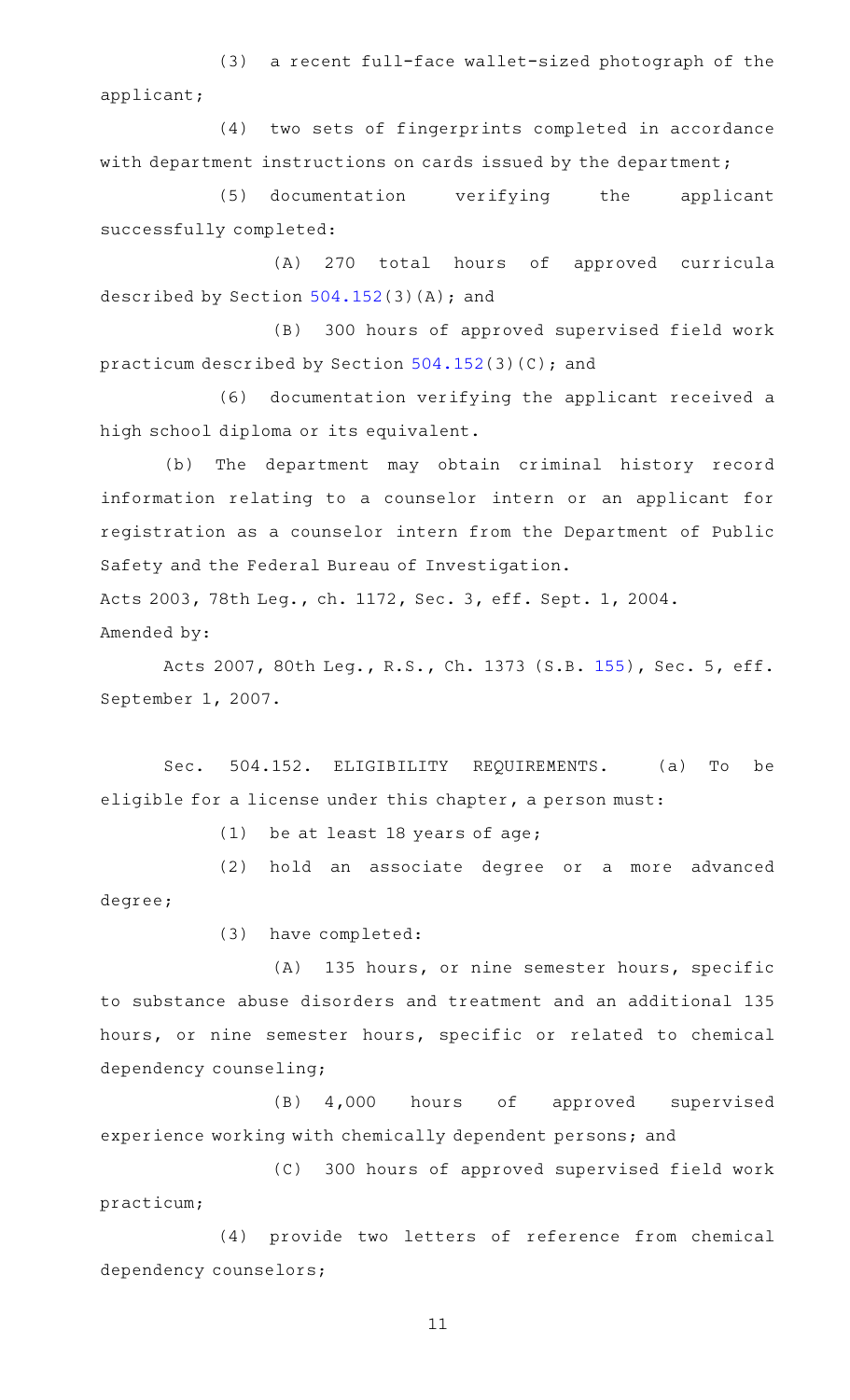(3) a recent full-face wallet-sized photograph of the applicant;

(4) two sets of fingerprints completed in accordance with department instructions on cards issued by the department;

(5) documentation verifying the applicant successfully completed:

(A) 270 total hours of approved curricula described by Section [504.152\(](http://www.statutes.legis.state.tx.us/GetStatute.aspx?Code=OC&Value=504.152)3)(A); and

(B) 300 hours of approved supervised field work practicum described by Section [504.152\(](http://www.statutes.legis.state.tx.us/GetStatute.aspx?Code=OC&Value=504.152)3)(C); and

(6) documentation verifying the applicant received a high school diploma or its equivalent.

(b) The department may obtain criminal history record information relating to a counselor intern or an applicant for registration as a counselor intern from the Department of Public Safety and the Federal Bureau of Investigation.

Acts 2003, 78th Leg., ch. 1172, Sec. 3, eff. Sept. 1, 2004. Amended by:

Acts 2007, 80th Leg., R.S., Ch. 1373 (S.B. [155](http://www.legis.state.tx.us/tlodocs/80R/billtext/html/SB00155F.HTM)), Sec. 5, eff. September 1, 2007.

Sec. 504.152. ELIGIBILITY REQUIREMENTS. (a) To be eligible for a license under this chapter, a person must:

(1) be at least 18 years of age;

(2) hold an associate degree or a more advanced degree;

(3) have completed:

(A) 135 hours, or nine semester hours, specific to substance abuse disorders and treatment and an additional 135 hours, or nine semester hours, specific or related to chemical dependency counseling;

(B) 4,000 hours of approved supervised experience working with chemically dependent persons; and

(C) 300 hours of approved supervised field work practicum;

(4) provide two letters of reference from chemical dependency counselors;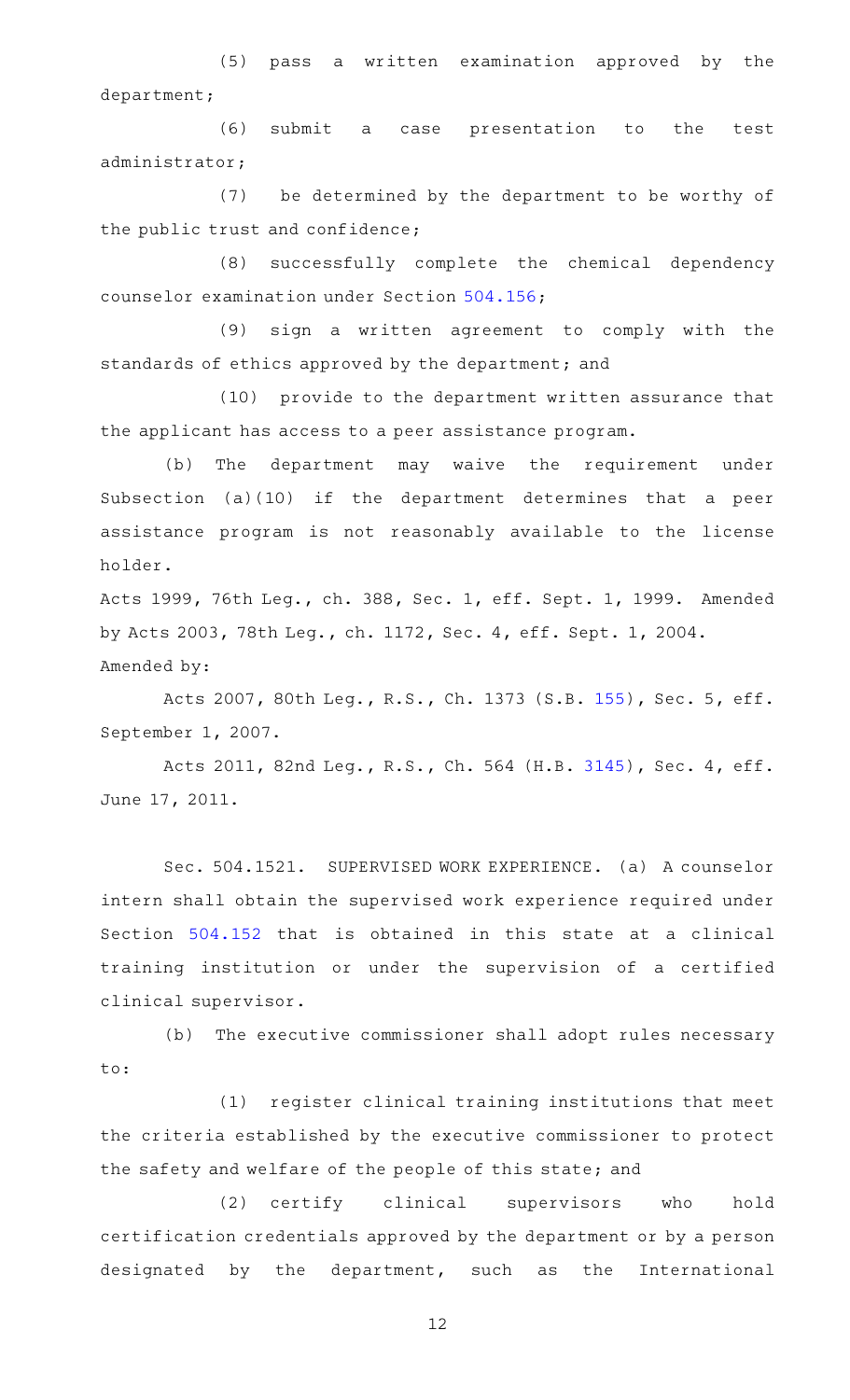(5) pass a written examination approved by the department;

(6) submit a case presentation to the test administrator;

(7) be determined by the department to be worthy of the public trust and confidence;

(8) successfully complete the chemical dependency counselor examination under Section [504.156;](http://www.statutes.legis.state.tx.us/GetStatute.aspx?Code=OC&Value=504.156)

(9) sign a written agreement to comply with the standards of ethics approved by the department; and

(10) provide to the department written assurance that the applicant has access to a peer assistance program.

(b) The department may waive the requirement under Subsection (a)(10) if the department determines that a peer assistance program is not reasonably available to the license holder.

Acts 1999, 76th Leg., ch. 388, Sec. 1, eff. Sept. 1, 1999. Amended by Acts 2003, 78th Leg., ch. 1172, Sec. 4, eff. Sept. 1, 2004. Amended by:

Acts 2007, 80th Leg., R.S., Ch. 1373 (S.B. [155](http://www.legis.state.tx.us/tlodocs/80R/billtext/html/SB00155F.HTM)), Sec. 5, eff. September 1, 2007.

Acts 2011, 82nd Leg., R.S., Ch. 564 (H.B. [3145](http://www.legis.state.tx.us/tlodocs/82R/billtext/html/HB03145F.HTM)), Sec. 4, eff. June 17, 2011.

Sec. 504.1521. SUPERVISED WORK EXPERIENCE. (a) A counselor intern shall obtain the supervised work experience required under Section [504.152](http://www.statutes.legis.state.tx.us/GetStatute.aspx?Code=OC&Value=504.152) that is obtained in this state at a clinical training institution or under the supervision of a certified clinical supervisor.

(b) The executive commissioner shall adopt rules necessary to:

(1) register clinical training institutions that meet the criteria established by the executive commissioner to protect the safety and welfare of the people of this state; and

(2) certify clinical supervisors who hold certification credentials approved by the department or by a person designated by the department, such as the International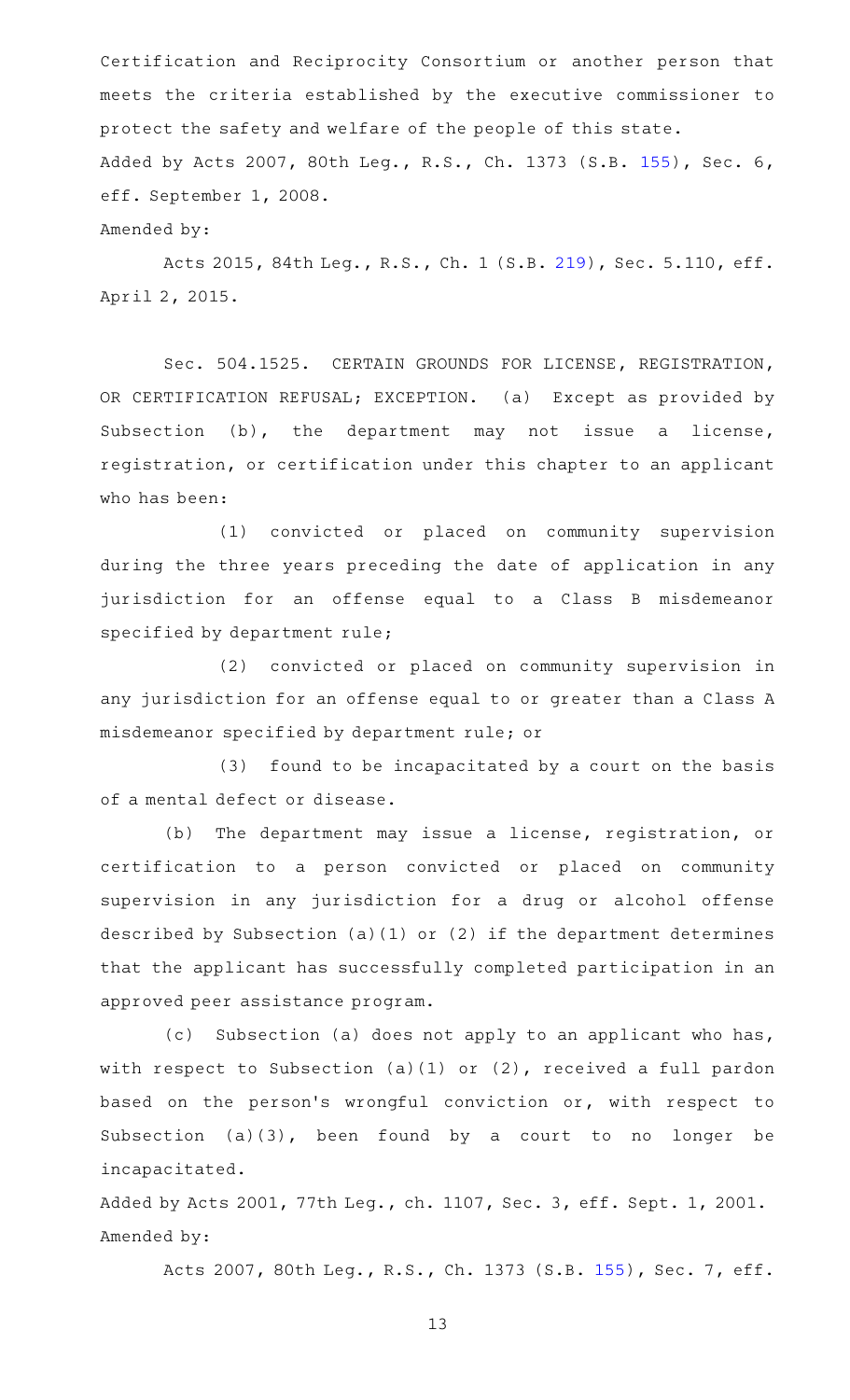Certification and Reciprocity Consortium or another person that meets the criteria established by the executive commissioner to protect the safety and welfare of the people of this state. Added by Acts 2007, 80th Leg., R.S., Ch. 1373 (S.B. [155](http://www.legis.state.tx.us/tlodocs/80R/billtext/html/SB00155F.HTM)), Sec. 6, eff. September 1, 2008.

Amended by:

Acts 2015, 84th Leg., R.S., Ch. 1 (S.B. [219](http://www.legis.state.tx.us/tlodocs/84R/billtext/html/SB00219F.HTM)), Sec. 5.110, eff. April 2, 2015.

Sec. 504.1525. CERTAIN GROUNDS FOR LICENSE, REGISTRATION, OR CERTIFICATION REFUSAL; EXCEPTION. (a) Except as provided by Subsection (b), the department may not issue a license, registration, or certification under this chapter to an applicant who has been:

(1) convicted or placed on community supervision during the three years preceding the date of application in any jurisdiction for an offense equal to a Class B misdemeanor specified by department rule;

(2) convicted or placed on community supervision in any jurisdiction for an offense equal to or greater than a Class A misdemeanor specified by department rule; or

(3) found to be incapacitated by a court on the basis of a mental defect or disease.

(b) The department may issue a license, registration, or certification to a person convicted or placed on community supervision in any jurisdiction for a drug or alcohol offense described by Subsection (a)(1) or (2) if the department determines that the applicant has successfully completed participation in an approved peer assistance program.

(c) Subsection (a) does not apply to an applicant who has, with respect to Subsection (a)(1) or (2), received a full pardon based on the person's wrongful conviction or, with respect to Subsection (a)(3), been found by a court to no longer be incapacitated.

Added by Acts 2001, 77th Leg., ch. 1107, Sec. 3, eff. Sept. 1, 2001. Amended by:

Acts 2007, 80th Leg., R.S., Ch. 1373 (S.B. [155](http://www.legis.state.tx.us/tlodocs/80R/billtext/html/SB00155F.HTM)), Sec. 7, eff.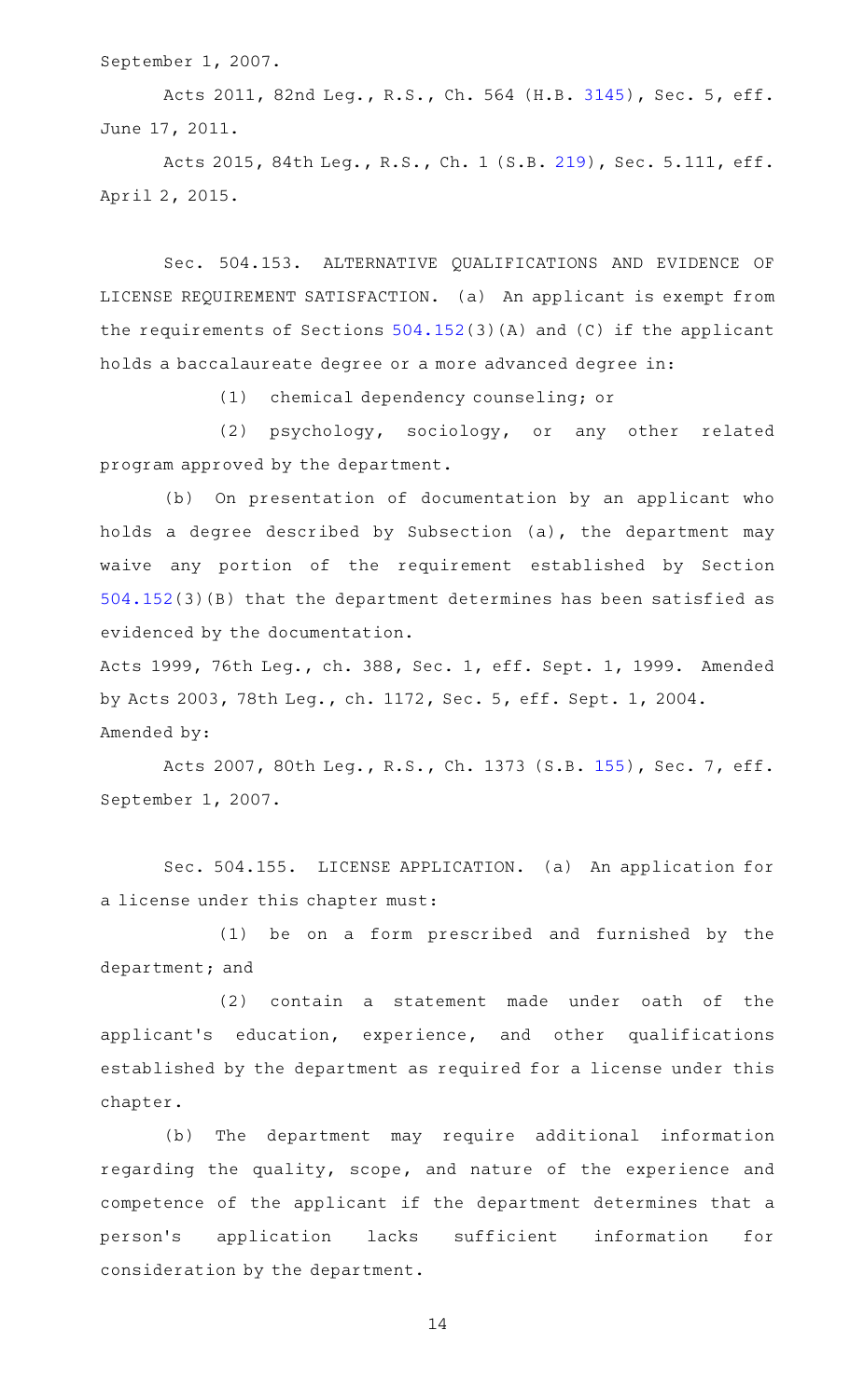September 1, 2007.

Acts 2011, 82nd Leg., R.S., Ch. 564 (H.B. [3145](http://www.legis.state.tx.us/tlodocs/82R/billtext/html/HB03145F.HTM)), Sec. 5, eff. June 17, 2011.

Acts 2015, 84th Leg., R.S., Ch. 1 (S.B. [219](http://www.legis.state.tx.us/tlodocs/84R/billtext/html/SB00219F.HTM)), Sec. 5.111, eff. April 2, 2015.

Sec. 504.153. ALTERNATIVE QUALIFICATIONS AND EVIDENCE OF LICENSE REQUIREMENT SATISFACTION. (a) An applicant is exempt from the requirements of Sections [504.152\(](http://www.statutes.legis.state.tx.us/GetStatute.aspx?Code=OC&Value=504.152)3)(A) and (C) if the applicant holds a baccalaureate degree or a more advanced degree in:

(1) chemical dependency counseling; or

(2) psychology, sociology, or any other related program approved by the department.

(b) On presentation of documentation by an applicant who holds a degree described by Subsection (a), the department may waive any portion of the requirement established by Section [504.152\(](http://www.statutes.legis.state.tx.us/GetStatute.aspx?Code=OC&Value=504.152)3)(B) that the department determines has been satisfied as evidenced by the documentation.

Acts 1999, 76th Leg., ch. 388, Sec. 1, eff. Sept. 1, 1999. Amended by Acts 2003, 78th Leg., ch. 1172, Sec. 5, eff. Sept. 1, 2004. Amended by:

Acts 2007, 80th Leg., R.S., Ch. 1373 (S.B. [155](http://www.legis.state.tx.us/tlodocs/80R/billtext/html/SB00155F.HTM)), Sec. 7, eff. September 1, 2007.

Sec. 504.155. LICENSE APPLICATION. (a) An application for a license under this chapter must:

(1) be on a form prescribed and furnished by the department; and

 $(2)$  contain a statement made under oath of the applicant 's education, experience, and other qualifications established by the department as required for a license under this chapter.

(b) The department may require additional information regarding the quality, scope, and nature of the experience and competence of the applicant if the department determines that a person 's application lacks sufficient information for consideration by the department.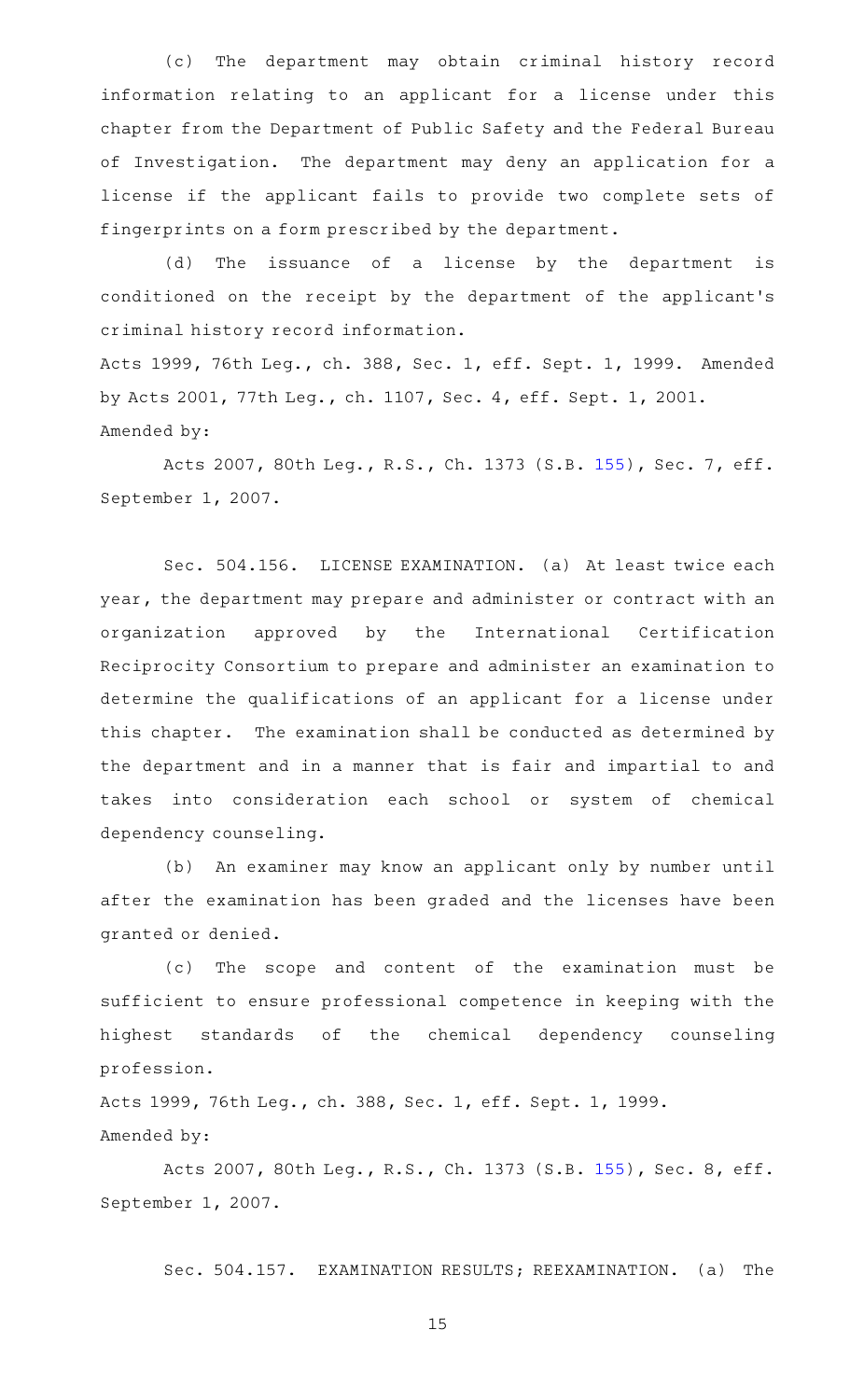(c) The department may obtain criminal history record information relating to an applicant for a license under this chapter from the Department of Public Safety and the Federal Bureau of Investigation. The department may deny an application for a license if the applicant fails to provide two complete sets of fingerprints on a form prescribed by the department.

(d) The issuance of a license by the department is conditioned on the receipt by the department of the applicant 's criminal history record information.

Acts 1999, 76th Leg., ch. 388, Sec. 1, eff. Sept. 1, 1999. Amended by Acts 2001, 77th Leg., ch. 1107, Sec. 4, eff. Sept. 1, 2001. Amended by:

Acts 2007, 80th Leg., R.S., Ch. 1373 (S.B. [155](http://www.legis.state.tx.us/tlodocs/80R/billtext/html/SB00155F.HTM)), Sec. 7, eff. September 1, 2007.

Sec. 504.156. LICENSE EXAMINATION. (a) At least twice each year, the department may prepare and administer or contract with an organization approved by the International Certification Reciprocity Consortium to prepare and administer an examination to determine the qualifications of an applicant for a license under this chapter. The examination shall be conducted as determined by the department and in a manner that is fair and impartial to and takes into consideration each school or system of chemical dependency counseling.

(b) An examiner may know an applicant only by number until after the examination has been graded and the licenses have been granted or denied.

(c) The scope and content of the examination must be sufficient to ensure professional competence in keeping with the highest standards of the chemical dependency counseling profession.

Acts 1999, 76th Leg., ch. 388, Sec. 1, eff. Sept. 1, 1999. Amended by:

Acts 2007, 80th Leg., R.S., Ch. 1373 (S.B. [155](http://www.legis.state.tx.us/tlodocs/80R/billtext/html/SB00155F.HTM)), Sec. 8, eff. September 1, 2007.

Sec. 504.157. EXAMINATION RESULTS; REEXAMINATION. (a) The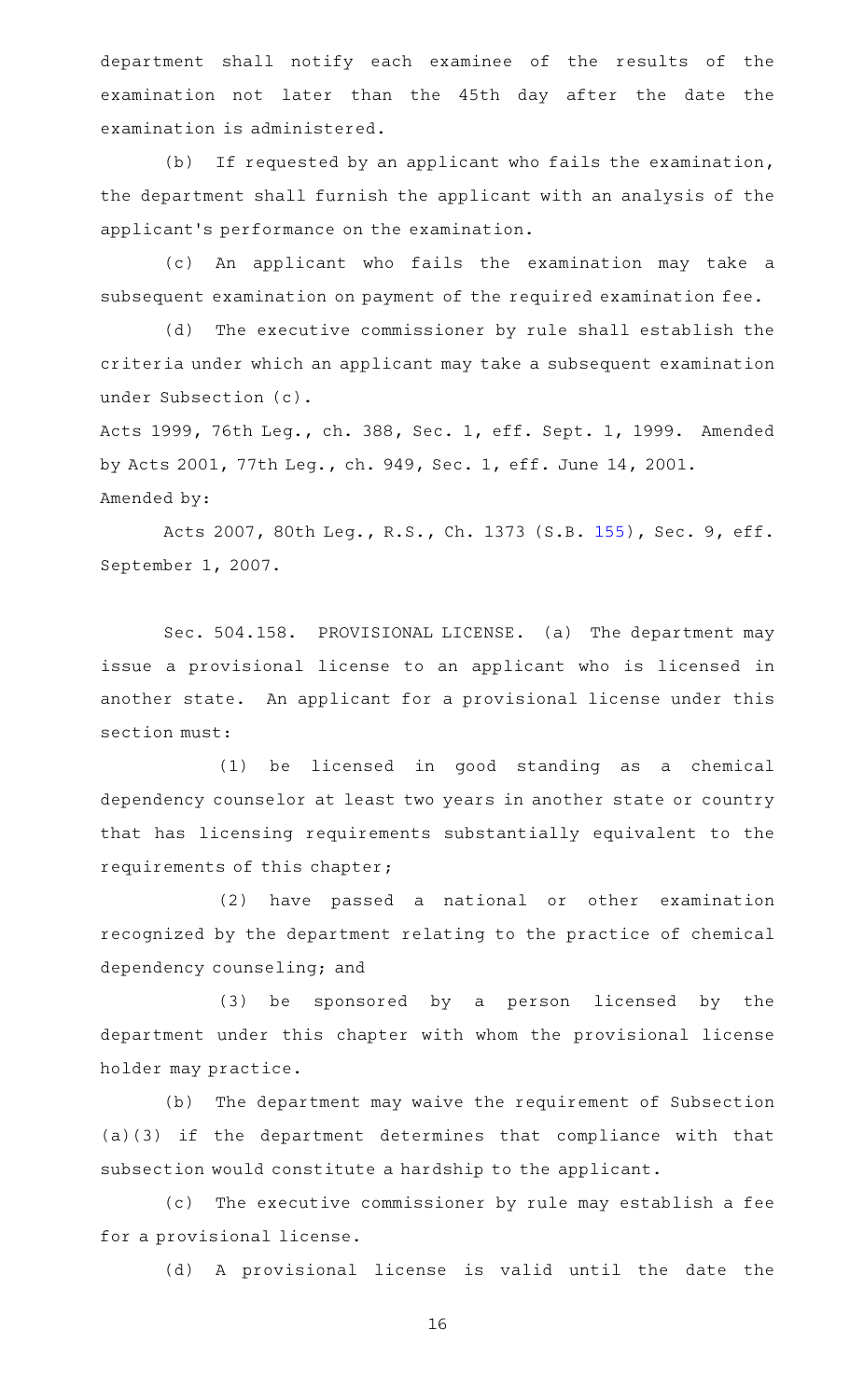department shall notify each examinee of the results of the examination not later than the 45th day after the date the examination is administered.

(b) If requested by an applicant who fails the examination, the department shall furnish the applicant with an analysis of the applicant 's performance on the examination.

(c) An applicant who fails the examination may take a subsequent examination on payment of the required examination fee.

(d) The executive commissioner by rule shall establish the criteria under which an applicant may take a subsequent examination under Subsection (c).

Acts 1999, 76th Leg., ch. 388, Sec. 1, eff. Sept. 1, 1999. Amended by Acts 2001, 77th Leg., ch. 949, Sec. 1, eff. June 14, 2001. Amended by:

Acts 2007, 80th Leg., R.S., Ch. 1373 (S.B. [155](http://www.legis.state.tx.us/tlodocs/80R/billtext/html/SB00155F.HTM)), Sec. 9, eff. September 1, 2007.

Sec. 504.158. PROVISIONAL LICENSE. (a) The department may issue a provisional license to an applicant who is licensed in another state. An applicant for a provisional license under this section must:

(1) be licensed in good standing as a chemical dependency counselor at least two years in another state or country that has licensing requirements substantially equivalent to the requirements of this chapter;

(2) have passed a national or other examination recognized by the department relating to the practice of chemical dependency counseling; and

(3) be sponsored by a person licensed by the department under this chapter with whom the provisional license holder may practice.

(b) The department may waive the requirement of Subsection (a)(3) if the department determines that compliance with that subsection would constitute a hardship to the applicant.

(c) The executive commissioner by rule may establish a fee for a provisional license.

(d) A provisional license is valid until the date the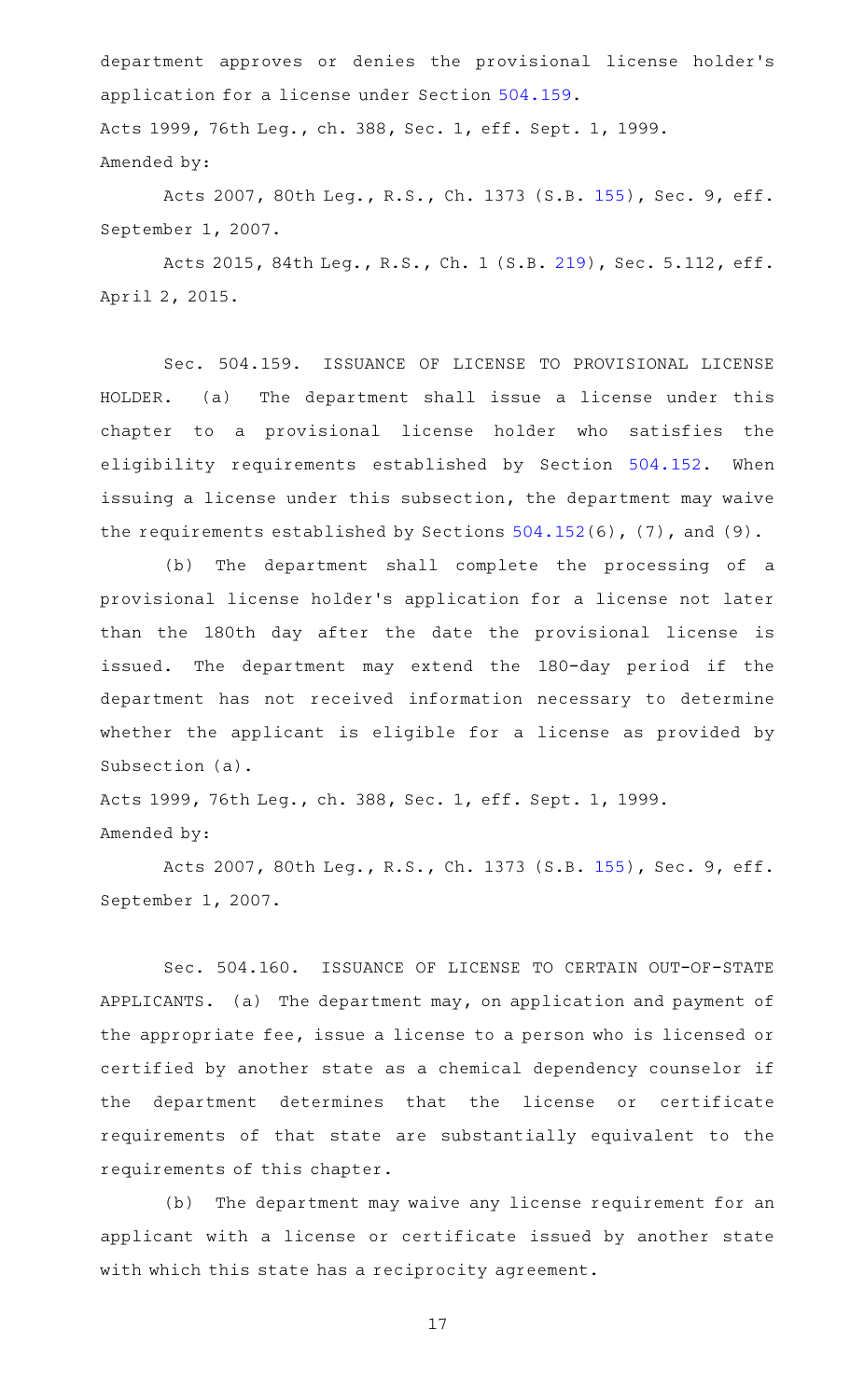department approves or denies the provisional license holder 's application for a license under Section [504.159.](http://www.statutes.legis.state.tx.us/GetStatute.aspx?Code=OC&Value=504.159) Acts 1999, 76th Leg., ch. 388, Sec. 1, eff. Sept. 1, 1999. Amended by:

Acts 2007, 80th Leg., R.S., Ch. 1373 (S.B. [155](http://www.legis.state.tx.us/tlodocs/80R/billtext/html/SB00155F.HTM)), Sec. 9, eff. September 1, 2007.

Acts 2015, 84th Leg., R.S., Ch. 1 (S.B. [219](http://www.legis.state.tx.us/tlodocs/84R/billtext/html/SB00219F.HTM)), Sec. 5.112, eff. April 2, 2015.

Sec. 504.159. ISSUANCE OF LICENSE TO PROVISIONAL LICENSE HOLDER. (a) The department shall issue a license under this chapter to a provisional license holder who satisfies the eligibility requirements established by Section [504.152](http://www.statutes.legis.state.tx.us/GetStatute.aspx?Code=OC&Value=504.152). When issuing a license under this subsection, the department may waive the requirements established by Sections [504.152\(](http://www.statutes.legis.state.tx.us/GetStatute.aspx?Code=OC&Value=504.152)6), (7), and (9).

(b) The department shall complete the processing of a provisional license holder 's application for a license not later than the 180th day after the date the provisional license is issued. The department may extend the 180-day period if the department has not received information necessary to determine whether the applicant is eligible for a license as provided by Subsection (a).

Acts 1999, 76th Leg., ch. 388, Sec. 1, eff. Sept. 1, 1999. Amended by:

Acts 2007, 80th Leg., R.S., Ch. 1373 (S.B. [155](http://www.legis.state.tx.us/tlodocs/80R/billtext/html/SB00155F.HTM)), Sec. 9, eff. September 1, 2007.

Sec. 504.160. ISSUANCE OF LICENSE TO CERTAIN OUT-OF-STATE APPLICANTS. (a) The department may, on application and payment of the appropriate fee, issue a license to a person who is licensed or certified by another state as a chemical dependency counselor if the department determines that the license or certificate requirements of that state are substantially equivalent to the requirements of this chapter.

(b) The department may waive any license requirement for an applicant with a license or certificate issued by another state with which this state has a reciprocity agreement.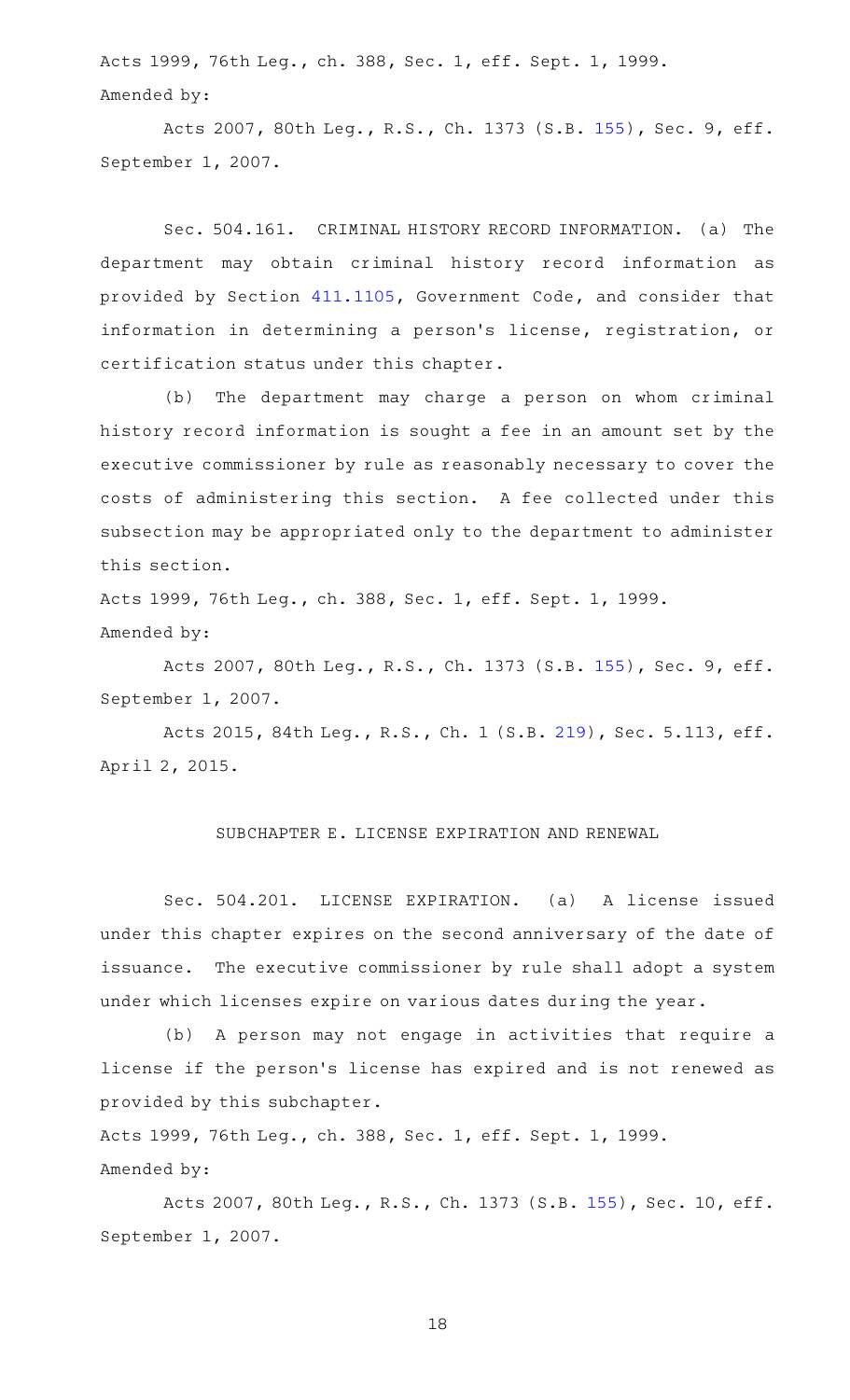Acts 1999, 76th Leg., ch. 388, Sec. 1, eff. Sept. 1, 1999. Amended by:

Acts 2007, 80th Leg., R.S., Ch. 1373 (S.B. [155](http://www.legis.state.tx.us/tlodocs/80R/billtext/html/SB00155F.HTM)), Sec. 9, eff. September 1, 2007.

Sec. 504.161. CRIMINAL HISTORY RECORD INFORMATION. (a) The department may obtain criminal history record information as provided by Section [411.1105](http://www.statutes.legis.state.tx.us/GetStatute.aspx?Code=GV&Value=411.1105), Government Code, and consider that information in determining a person's license, registration, or certification status under this chapter.

(b) The department may charge a person on whom criminal history record information is sought a fee in an amount set by the executive commissioner by rule as reasonably necessary to cover the costs of administering this section. A fee collected under this subsection may be appropriated only to the department to administer this section.

Acts 1999, 76th Leg., ch. 388, Sec. 1, eff. Sept. 1, 1999. Amended by:

Acts 2007, 80th Leg., R.S., Ch. 1373 (S.B. [155](http://www.legis.state.tx.us/tlodocs/80R/billtext/html/SB00155F.HTM)), Sec. 9, eff. September 1, 2007.

Acts 2015, 84th Leg., R.S., Ch. 1 (S.B. [219](http://www.legis.state.tx.us/tlodocs/84R/billtext/html/SB00219F.HTM)), Sec. 5.113, eff. April 2, 2015.

#### SUBCHAPTER E. LICENSE EXPIRATION AND RENEWAL

Sec. 504.201. LICENSE EXPIRATION. (a) A license issued under this chapter expires on the second anniversary of the date of issuance. The executive commissioner by rule shall adopt a system under which licenses expire on various dates during the year.

(b) A person may not engage in activities that require a license if the person 's license has expired and is not renewed as provided by this subchapter.

Acts 1999, 76th Leg., ch. 388, Sec. 1, eff. Sept. 1, 1999. Amended by:

Acts 2007, 80th Leg., R.S., Ch. 1373 (S.B. [155\)](http://www.legis.state.tx.us/tlodocs/80R/billtext/html/SB00155F.HTM), Sec. 10, eff. September 1, 2007.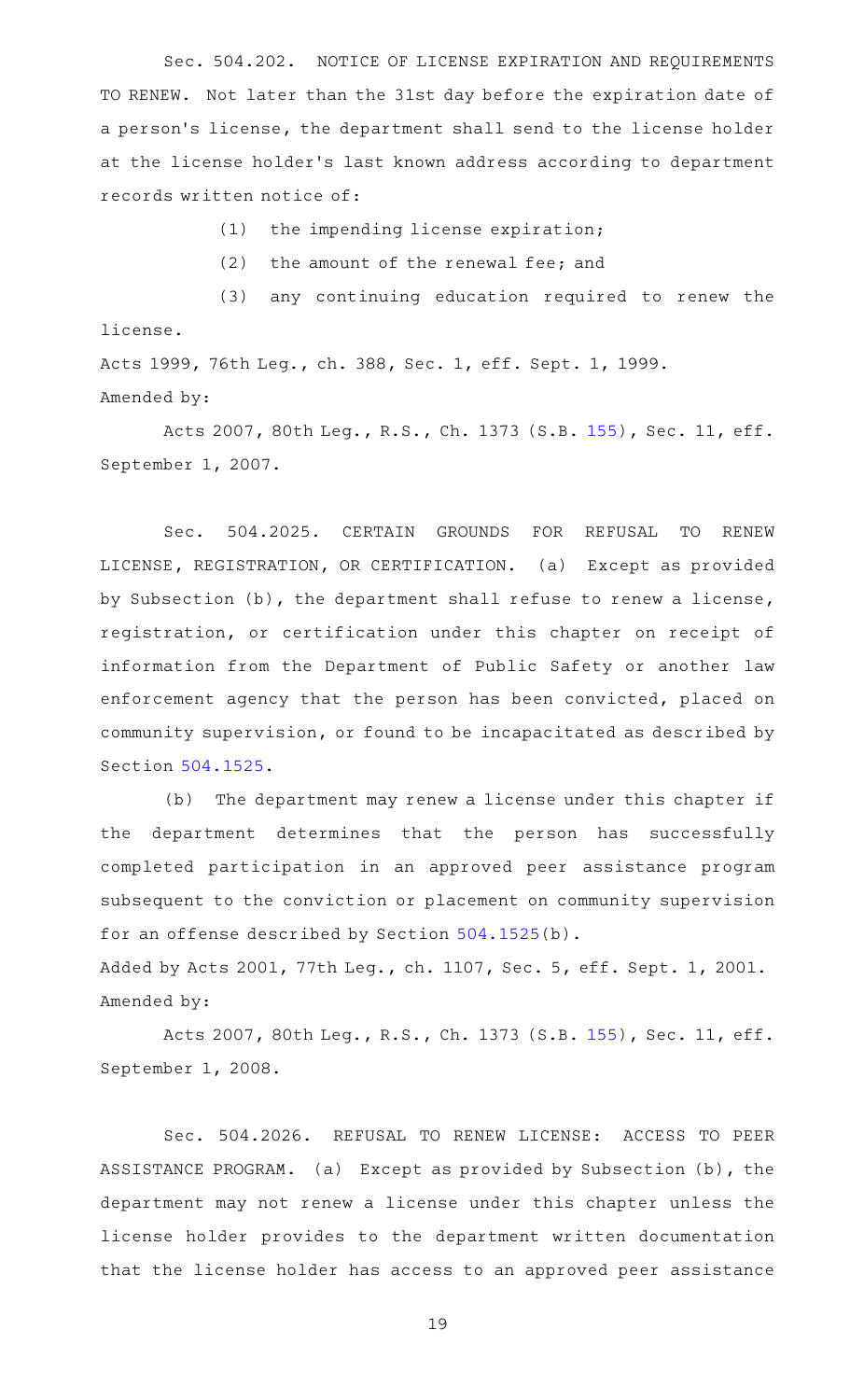Sec. 504.202. NOTICE OF LICENSE EXPIRATION AND REQUIREMENTS TO RENEW. Not later than the 31st day before the expiration date of a person's license, the department shall send to the license holder at the license holder 's last known address according to department records written notice of:

 $(1)$  the impending license expiration;

 $(2)$  the amount of the renewal fee; and

(3) any continuing education required to renew the license.

Acts 1999, 76th Leg., ch. 388, Sec. 1, eff. Sept. 1, 1999. Amended by:

Acts 2007, 80th Leg., R.S., Ch. 1373 (S.B. [155\)](http://www.legis.state.tx.us/tlodocs/80R/billtext/html/SB00155F.HTM), Sec. 11, eff. September 1, 2007.

Sec. 504.2025. CERTAIN GROUNDS FOR REFUSAL TO RENEW LICENSE, REGISTRATION, OR CERTIFICATION. (a) Except as provided by Subsection (b), the department shall refuse to renew a license, registration, or certification under this chapter on receipt of information from the Department of Public Safety or another law enforcement agency that the person has been convicted, placed on community supervision, or found to be incapacitated as described by Section [504.1525](http://www.statutes.legis.state.tx.us/GetStatute.aspx?Code=OC&Value=504.1525).

(b) The department may renew a license under this chapter if the department determines that the person has successfully completed participation in an approved peer assistance program subsequent to the conviction or placement on community supervision for an offense described by Section [504.1525](http://www.statutes.legis.state.tx.us/GetStatute.aspx?Code=OC&Value=504.1525)(b).

Added by Acts 2001, 77th Leg., ch. 1107, Sec. 5, eff. Sept. 1, 2001. Amended by:

Acts 2007, 80th Leg., R.S., Ch. 1373 (S.B. [155\)](http://www.legis.state.tx.us/tlodocs/80R/billtext/html/SB00155F.HTM), Sec. 11, eff. September 1, 2008.

Sec. 504.2026. REFUSAL TO RENEW LICENSE: ACCESS TO PEER ASSISTANCE PROGRAM. (a) Except as provided by Subsection (b), the department may not renew a license under this chapter unless the license holder provides to the department written documentation that the license holder has access to an approved peer assistance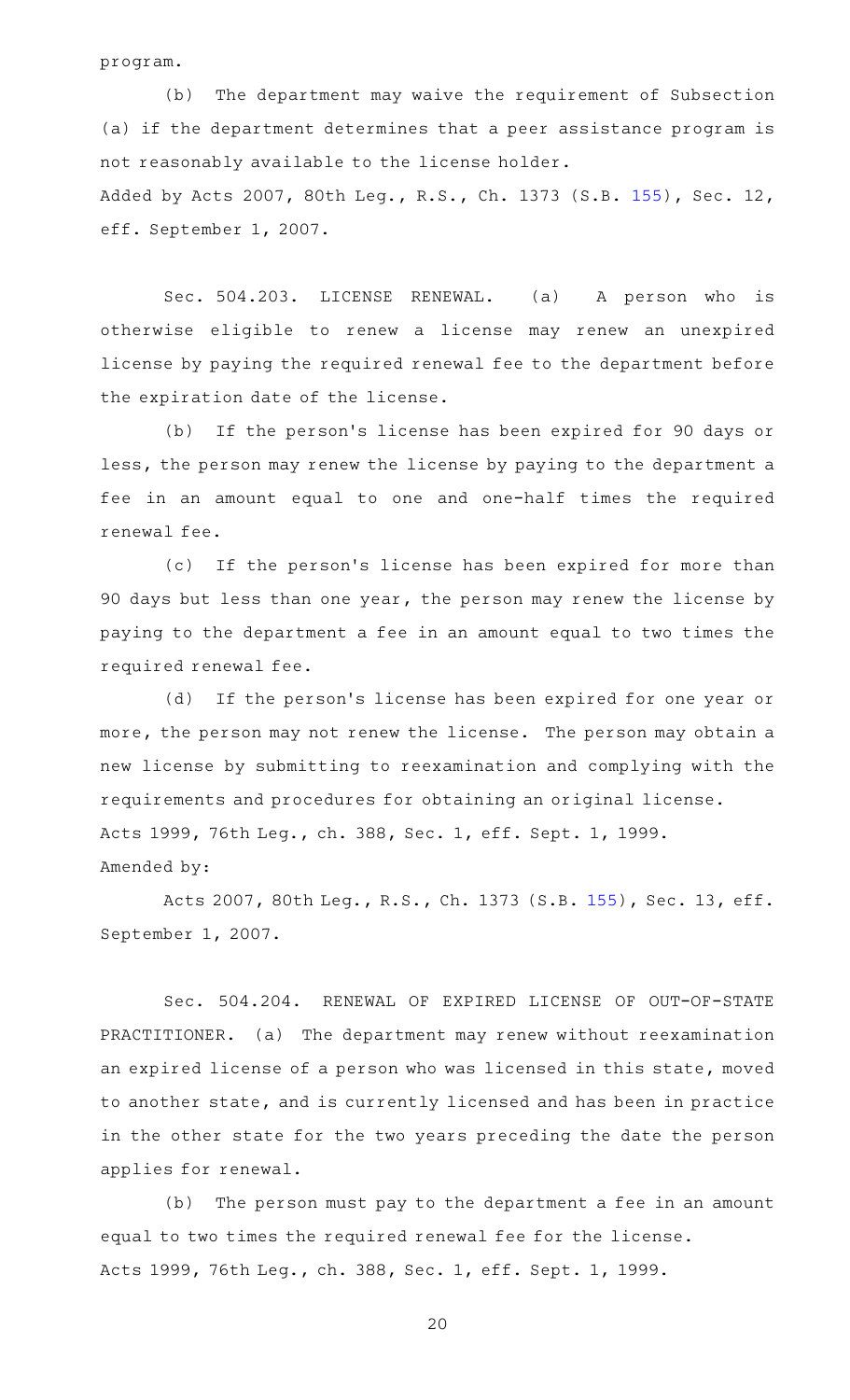program.

(b) The department may waive the requirement of Subsection (a) if the department determines that a peer assistance program is not reasonably available to the license holder. Added by Acts 2007, 80th Leg., R.S., Ch. 1373 (S.B. [155\)](http://www.legis.state.tx.us/tlodocs/80R/billtext/html/SB00155F.HTM), Sec. 12, eff. September 1, 2007.

Sec. 504.203. LICENSE RENEWAL. (a) A person who is otherwise eligible to renew a license may renew an unexpired license by paying the required renewal fee to the department before the expiration date of the license.

(b) If the person's license has been expired for 90 days or less, the person may renew the license by paying to the department a fee in an amount equal to one and one-half times the required renewal fee.

(c) If the person's license has been expired for more than 90 days but less than one year, the person may renew the license by paying to the department a fee in an amount equal to two times the required renewal fee.

(d) If the person's license has been expired for one year or more, the person may not renew the license. The person may obtain a new license by submitting to reexamination and complying with the requirements and procedures for obtaining an original license. Acts 1999, 76th Leg., ch. 388, Sec. 1, eff. Sept. 1, 1999. Amended by:

Acts 2007, 80th Leg., R.S., Ch. 1373 (S.B. [155\)](http://www.legis.state.tx.us/tlodocs/80R/billtext/html/SB00155F.HTM), Sec. 13, eff. September 1, 2007.

Sec. 504.204. RENEWAL OF EXPIRED LICENSE OF OUT-OF-STATE PRACTITIONER. (a) The department may renew without reexamination an expired license of a person who was licensed in this state, moved to another state, and is currently licensed and has been in practice in the other state for the two years preceding the date the person applies for renewal.

(b) The person must pay to the department a fee in an amount equal to two times the required renewal fee for the license. Acts 1999, 76th Leg., ch. 388, Sec. 1, eff. Sept. 1, 1999.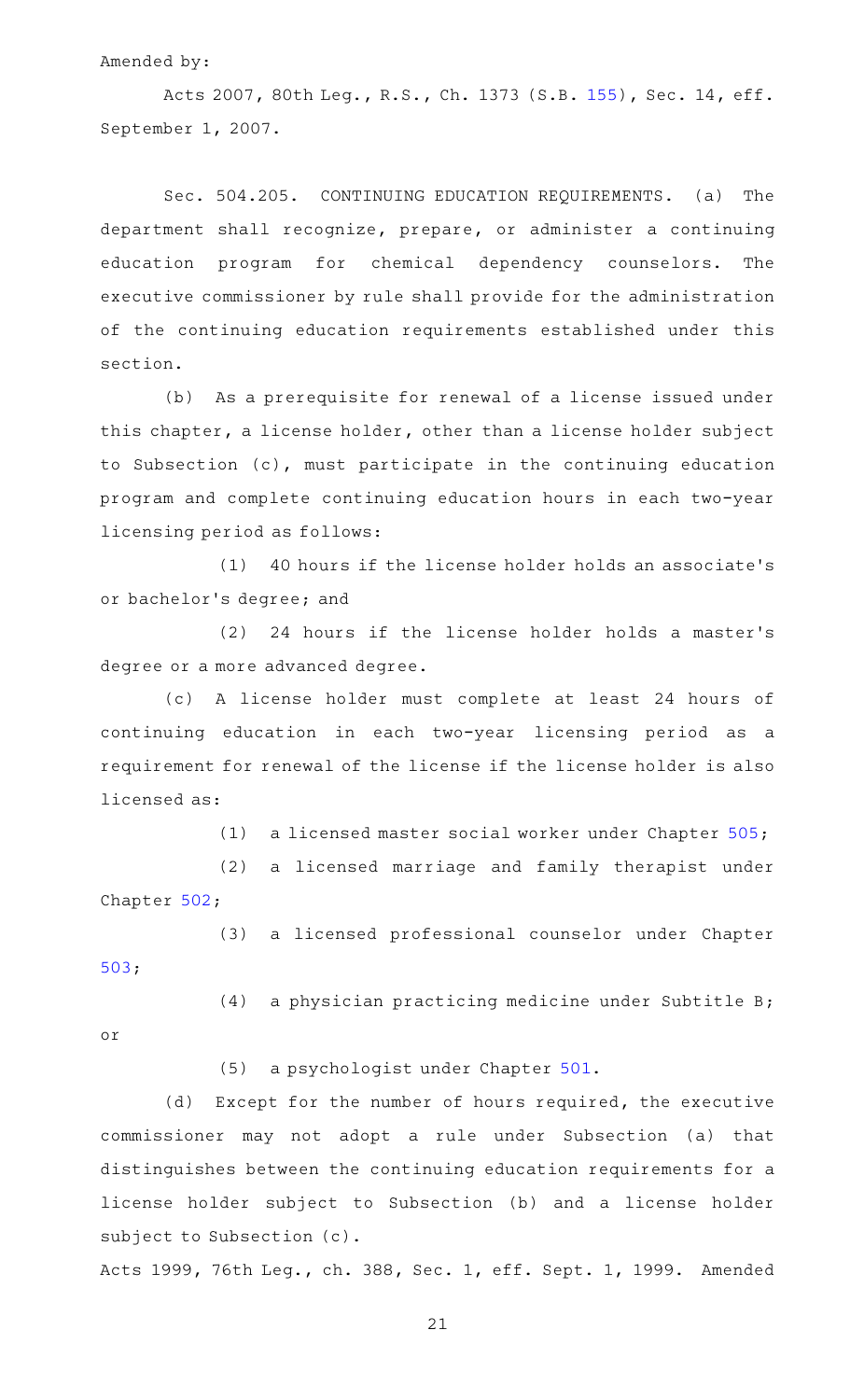#### Amended by:

Acts 2007, 80th Leg., R.S., Ch. 1373 (S.B. [155\)](http://www.legis.state.tx.us/tlodocs/80R/billtext/html/SB00155F.HTM), Sec. 14, eff. September 1, 2007.

Sec. 504.205. CONTINUING EDUCATION REQUIREMENTS. (a) The department shall recognize, prepare, or administer a continuing education program for chemical dependency counselors. The executive commissioner by rule shall provide for the administration of the continuing education requirements established under this section.

(b) As a prerequisite for renewal of a license issued under this chapter, a license holder, other than a license holder subject to Subsection (c), must participate in the continuing education program and complete continuing education hours in each two-year licensing period as follows:

(1) 40 hours if the license holder holds an associate's or bachelor 's degree; and

(2) 24 hours if the license holder holds a master's degree or a more advanced degree.

(c)AAA license holder must complete at least 24 hours of continuing education in each two-year licensing period as a requirement for renewal of the license if the license holder is also licensed as:

(1) a licensed master social worker under Chapter [505;](http://www.statutes.legis.state.tx.us/GetStatute.aspx?Code=OC&Value=505)

(2) a licensed marriage and family therapist under Chapter [502;](http://www.statutes.legis.state.tx.us/GetStatute.aspx?Code=OC&Value=502)

(3) a licensed professional counselor under Chapter [503;](http://www.statutes.legis.state.tx.us/GetStatute.aspx?Code=OC&Value=503)

 $(4)$  a physician practicing medicine under Subtitle B; or

(5) a psychologist under Chapter [501.](http://www.statutes.legis.state.tx.us/GetStatute.aspx?Code=OC&Value=501)

(d) Except for the number of hours required, the executive commissioner may not adopt a rule under Subsection (a) that distinguishes between the continuing education requirements for a license holder subject to Subsection (b) and a license holder subject to Subsection (c).

Acts 1999, 76th Leg., ch. 388, Sec. 1, eff. Sept. 1, 1999. Amended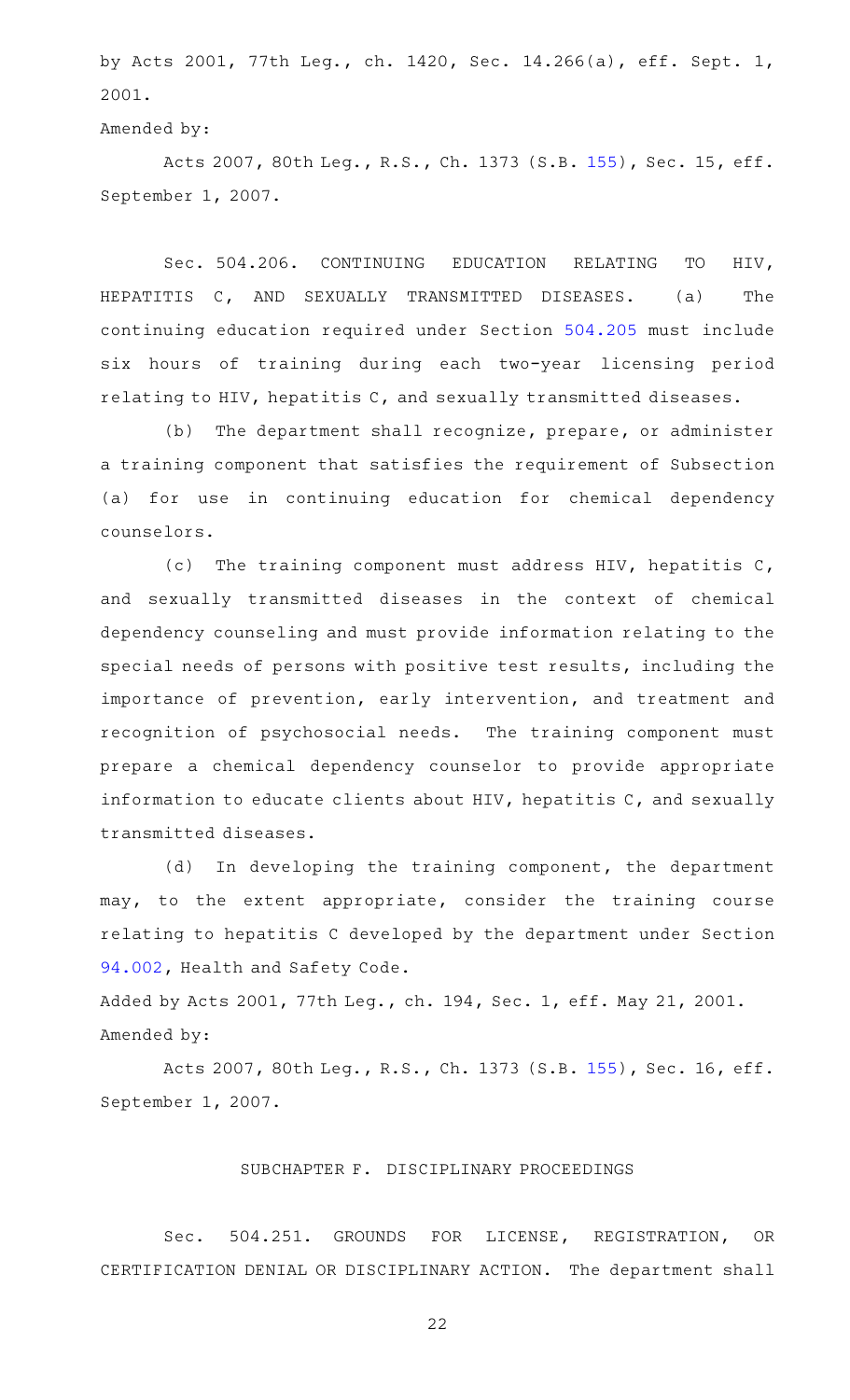by Acts 2001, 77th Leg., ch. 1420, Sec. 14.266(a), eff. Sept. 1, 2001.

```
Amended by:
```
Acts 2007, 80th Leg., R.S., Ch. 1373 (S.B. [155\)](http://www.legis.state.tx.us/tlodocs/80R/billtext/html/SB00155F.HTM), Sec. 15, eff. September 1, 2007.

Sec. 504.206. CONTINUING EDUCATION RELATING TO HIV, HEPATITIS C, AND SEXUALLY TRANSMITTED DISEASES. (a) The continuing education required under Section [504.205](http://www.statutes.legis.state.tx.us/GetStatute.aspx?Code=OC&Value=504.205) must include six hours of training during each two-year licensing period relating to HIV, hepatitis C, and sexually transmitted diseases.

(b) The department shall recognize, prepare, or administer a training component that satisfies the requirement of Subsection (a) for use in continuing education for chemical dependency counselors.

(c) The training component must address HIV, hepatitis C, and sexually transmitted diseases in the context of chemical dependency counseling and must provide information relating to the special needs of persons with positive test results, including the importance of prevention, early intervention, and treatment and recognition of psychosocial needs. The training component must prepare a chemical dependency counselor to provide appropriate information to educate clients about HIV, hepatitis C, and sexually transmitted diseases.

(d) In developing the training component, the department may, to the extent appropriate, consider the training course relating to hepatitis C developed by the department under Section [94.002](http://www.statutes.legis.state.tx.us/GetStatute.aspx?Code=HS&Value=94.002), Health and Safety Code.

Added by Acts 2001, 77th Leg., ch. 194, Sec. 1, eff. May 21, 2001. Amended by:

Acts 2007, 80th Leg., R.S., Ch. 1373 (S.B. [155\)](http://www.legis.state.tx.us/tlodocs/80R/billtext/html/SB00155F.HTM), Sec. 16, eff. September 1, 2007.

## SUBCHAPTER F. DISCIPLINARY PROCEEDINGS

Sec. 504.251. GROUNDS FOR LICENSE, REGISTRATION, OR CERTIFICATION DENIAL OR DISCIPLINARY ACTION. The department shall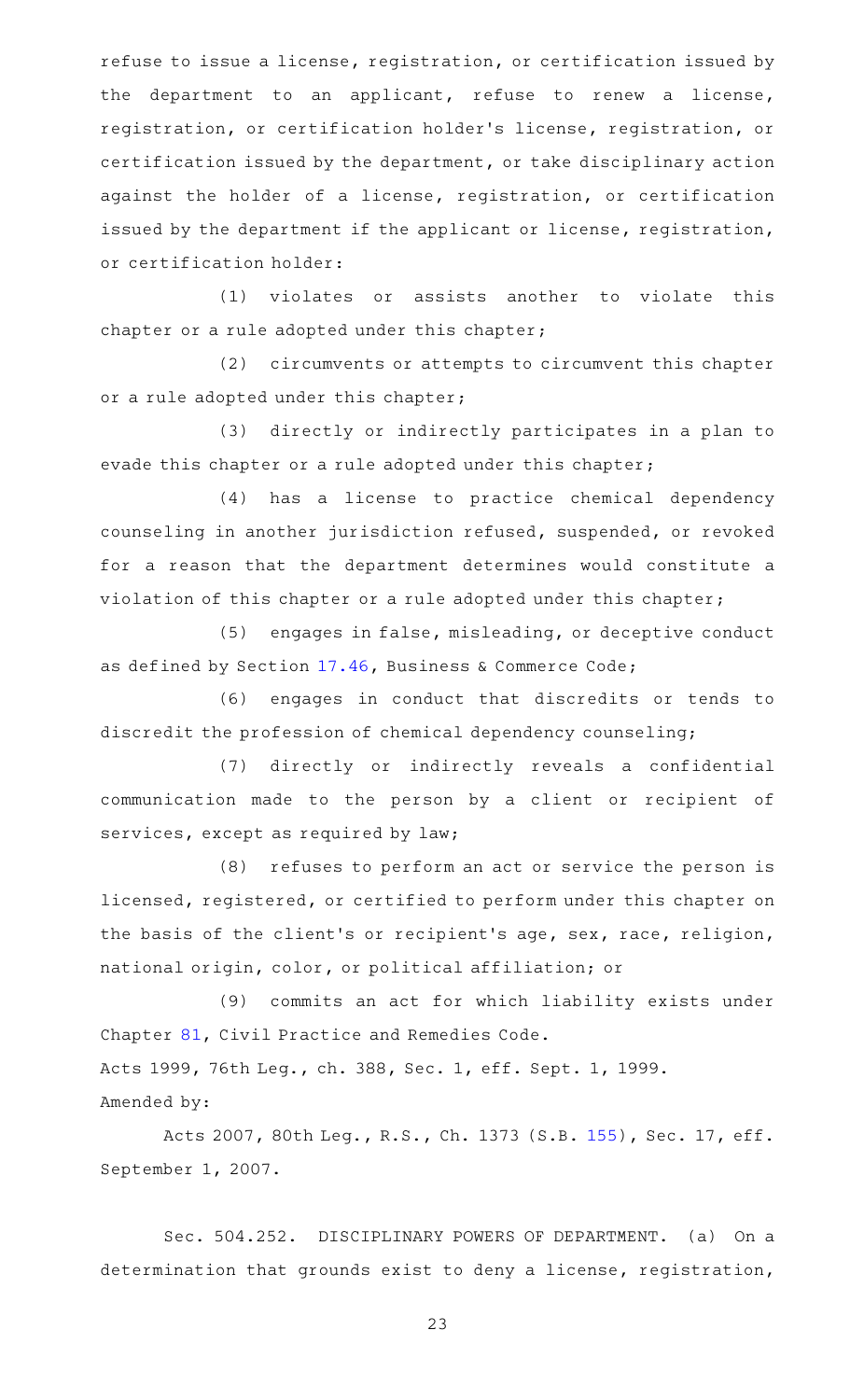refuse to issue a license, registration, or certification issued by the department to an applicant, refuse to renew a license, registration, or certification holder 's license, registration, or certification issued by the department, or take disciplinary action against the holder of a license, registration, or certification issued by the department if the applicant or license, registration, or certification holder:

(1) violates or assists another to violate this chapter or a rule adopted under this chapter;

(2) circumvents or attempts to circumvent this chapter or a rule adopted under this chapter;

(3) directly or indirectly participates in a plan to evade this chapter or a rule adopted under this chapter;

(4) has a license to practice chemical dependency counseling in another jurisdiction refused, suspended, or revoked for a reason that the department determines would constitute a violation of this chapter or a rule adopted under this chapter;

(5) engages in false, misleading, or deceptive conduct as defined by Section [17.46,](http://www.statutes.legis.state.tx.us/GetStatute.aspx?Code=BC&Value=17.46) Business & Commerce Code;

(6) engages in conduct that discredits or tends to discredit the profession of chemical dependency counseling;

(7) directly or indirectly reveals a confidential communication made to the person by a client or recipient of services, except as required by law;

(8) refuses to perform an act or service the person is licensed, registered, or certified to perform under this chapter on the basis of the client 's or recipient 's age, sex, race, religion, national origin, color, or political affiliation; or

(9) commits an act for which liability exists under Chapter [81,](http://www.statutes.legis.state.tx.us/GetStatute.aspx?Code=CP&Value=81) Civil Practice and Remedies Code. Acts 1999, 76th Leg., ch. 388, Sec. 1, eff. Sept. 1, 1999. Amended by:

Acts 2007, 80th Leg., R.S., Ch. 1373 (S.B. [155\)](http://www.legis.state.tx.us/tlodocs/80R/billtext/html/SB00155F.HTM), Sec. 17, eff. September 1, 2007.

Sec. 504.252. DISCIPLINARY POWERS OF DEPARTMENT. (a) On a determination that grounds exist to deny a license, registration,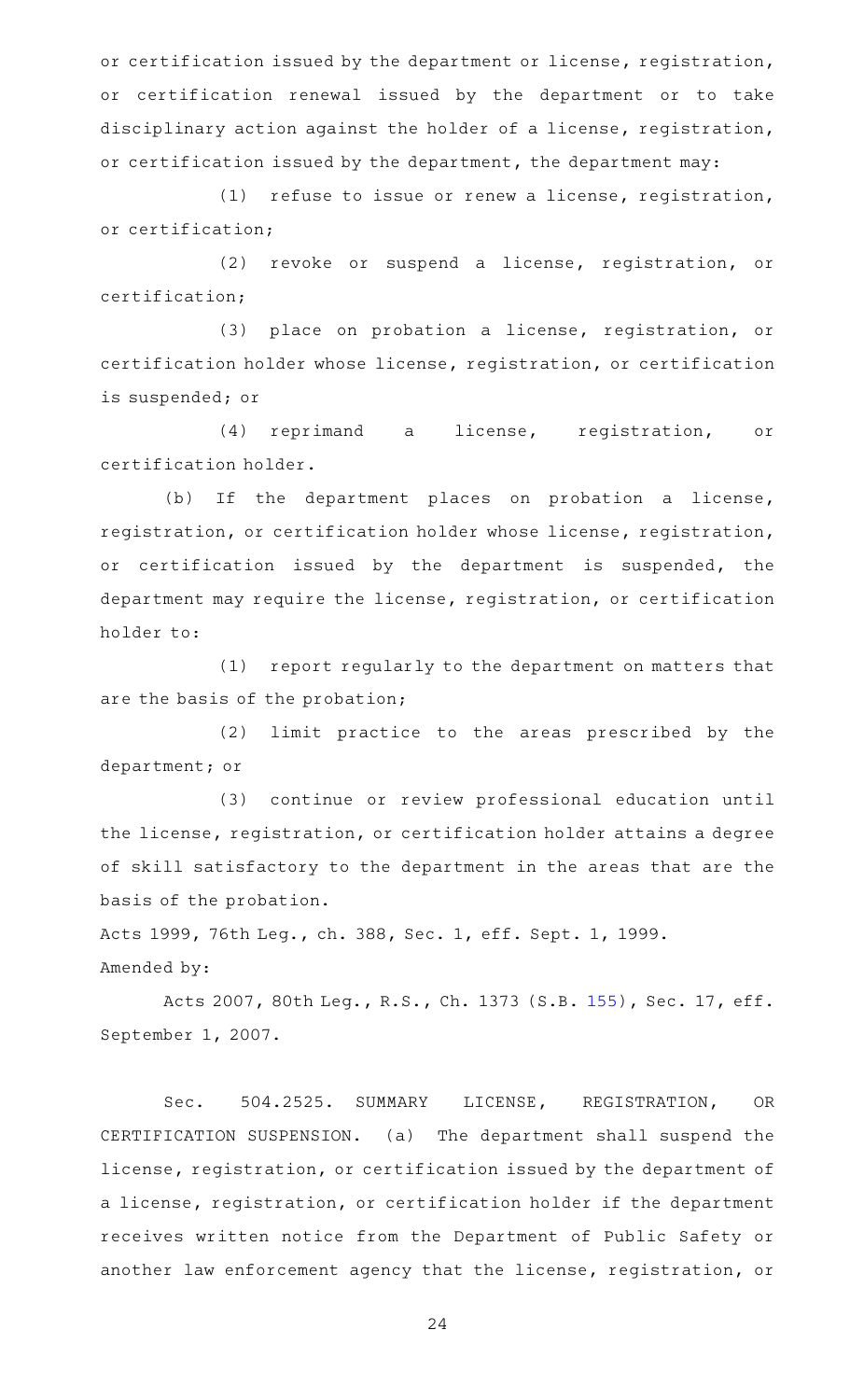or certification issued by the department or license, registration, or certification renewal issued by the department or to take disciplinary action against the holder of a license, registration, or certification issued by the department, the department may:

(1) refuse to issue or renew a license, registration, or certification;

(2) revoke or suspend a license, registration, or certification;

(3) place on probation a license, registration, or certification holder whose license, registration, or certification is suspended; or

(4) reprimand a license, registration, or certification holder.

(b) If the department places on probation a license, registration, or certification holder whose license, registration, or certification issued by the department is suspended, the department may require the license, registration, or certification holder to:

(1) report regularly to the department on matters that are the basis of the probation;

(2) limit practice to the areas prescribed by the department; or

(3) continue or review professional education until the license, registration, or certification holder attains a degree of skill satisfactory to the department in the areas that are the basis of the probation.

Acts 1999, 76th Leg., ch. 388, Sec. 1, eff. Sept. 1, 1999.

Amended by:

Acts 2007, 80th Leg., R.S., Ch. 1373 (S.B. [155\)](http://www.legis.state.tx.us/tlodocs/80R/billtext/html/SB00155F.HTM), Sec. 17, eff. September 1, 2007.

Sec. 504.2525. SUMMARY LICENSE, REGISTRATION, OR CERTIFICATION SUSPENSION. (a) The department shall suspend the license, registration, or certification issued by the department of a license, registration, or certification holder if the department receives written notice from the Department of Public Safety or another law enforcement agency that the license, registration, or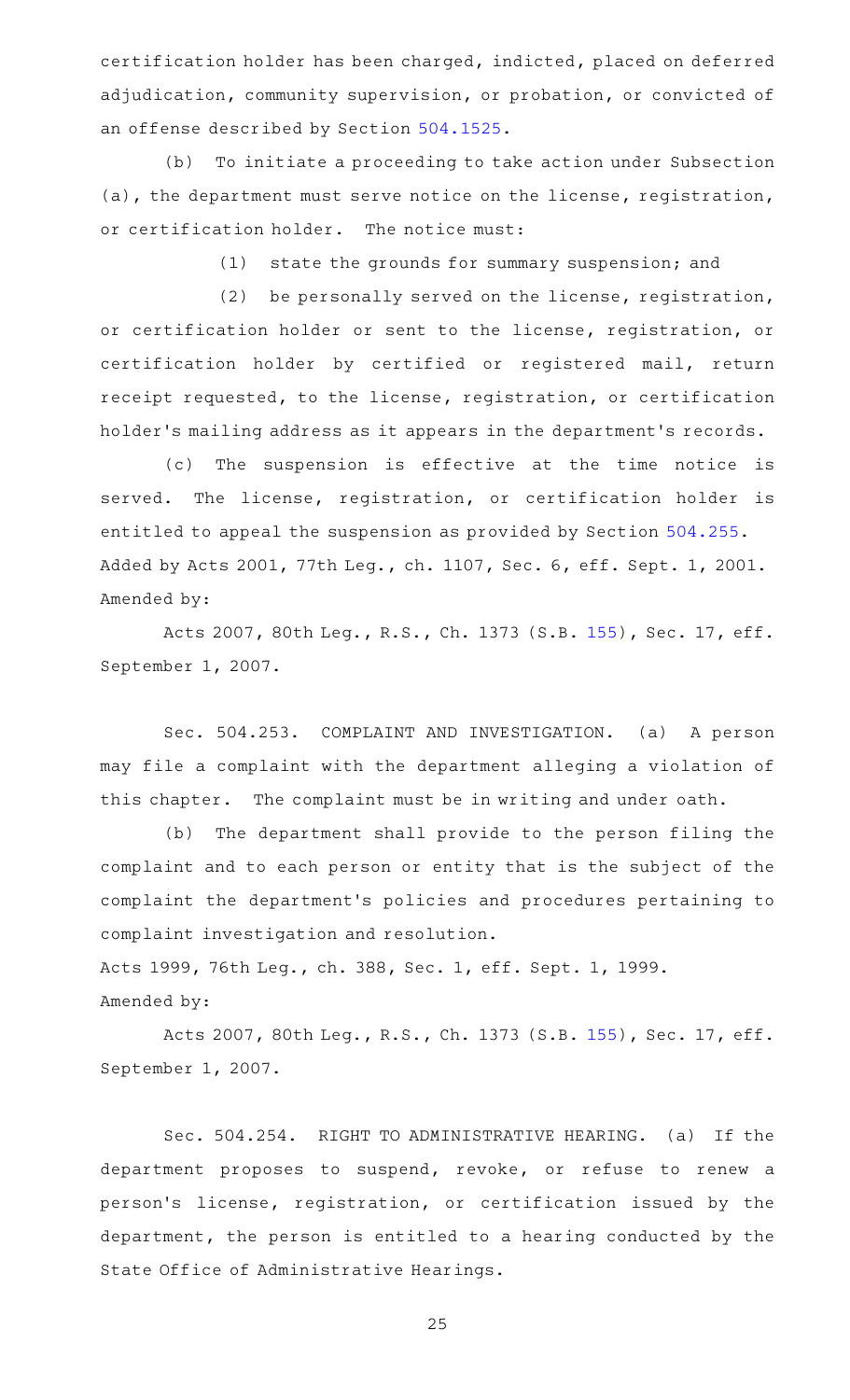certification holder has been charged, indicted, placed on deferred adjudication, community supervision, or probation, or convicted of an offense described by Section [504.1525](http://www.statutes.legis.state.tx.us/GetStatute.aspx?Code=OC&Value=504.1525).

(b) To initiate a proceeding to take action under Subsection (a), the department must serve notice on the license, registration, or certification holder. The notice must:

 $(1)$  state the grounds for summary suspension; and

(2) be personally served on the license, registration, or certification holder or sent to the license, registration, or certification holder by certified or registered mail, return receipt requested, to the license, registration, or certification holder 's mailing address as it appears in the department 's records.

(c) The suspension is effective at the time notice is served. The license, registration, or certification holder is entitled to appeal the suspension as provided by Section [504.255](http://www.statutes.legis.state.tx.us/GetStatute.aspx?Code=OC&Value=504.255). Added by Acts 2001, 77th Leg., ch. 1107, Sec. 6, eff. Sept. 1, 2001. Amended by:

Acts 2007, 80th Leg., R.S., Ch. 1373 (S.B. [155\)](http://www.legis.state.tx.us/tlodocs/80R/billtext/html/SB00155F.HTM), Sec. 17, eff. September 1, 2007.

Sec. 504.253. COMPLAINT AND INVESTIGATION. (a) A person may file a complaint with the department alleging a violation of this chapter. The complaint must be in writing and under oath.

(b) The department shall provide to the person filing the complaint and to each person or entity that is the subject of the complaint the department 's policies and procedures pertaining to complaint investigation and resolution.

Acts 1999, 76th Leg., ch. 388, Sec. 1, eff. Sept. 1, 1999. Amended by:

Acts 2007, 80th Leg., R.S., Ch. 1373 (S.B. [155\)](http://www.legis.state.tx.us/tlodocs/80R/billtext/html/SB00155F.HTM), Sec. 17, eff. September 1, 2007.

Sec. 504.254. RIGHT TO ADMINISTRATIVE HEARING. (a) If the department proposes to suspend, revoke, or refuse to renew a person 's license, registration, or certification issued by the department, the person is entitled to a hearing conducted by the State Office of Administrative Hearings.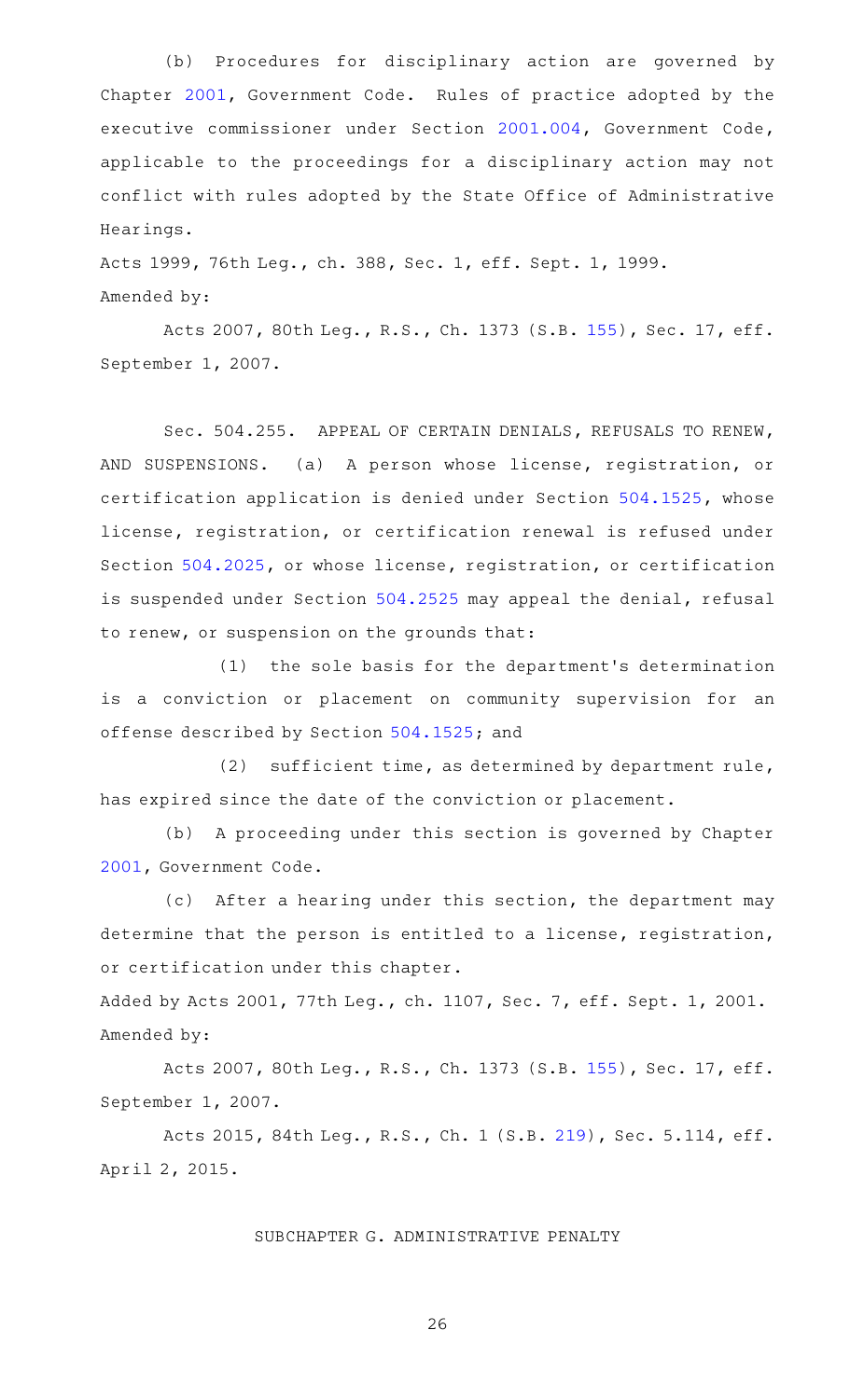(b) Procedures for disciplinary action are governed by Chapter [2001,](http://www.statutes.legis.state.tx.us/GetStatute.aspx?Code=GV&Value=2001) Government Code. Rules of practice adopted by the executive commissioner under Section [2001.004,](http://www.statutes.legis.state.tx.us/GetStatute.aspx?Code=GV&Value=2001.004) Government Code, applicable to the proceedings for a disciplinary action may not conflict with rules adopted by the State Office of Administrative Hearings.

Acts 1999, 76th Leg., ch. 388, Sec. 1, eff. Sept. 1, 1999. Amended by:

Acts 2007, 80th Leg., R.S., Ch. 1373 (S.B. [155\)](http://www.legis.state.tx.us/tlodocs/80R/billtext/html/SB00155F.HTM), Sec. 17, eff. September 1, 2007.

Sec. 504.255. APPEAL OF CERTAIN DENIALS, REFUSALS TO RENEW, AND SUSPENSIONS. (a) A person whose license, registration, or certification application is denied under Section [504.1525,](http://www.statutes.legis.state.tx.us/GetStatute.aspx?Code=OC&Value=504.1525) whose license, registration, or certification renewal is refused under Section [504.2025,](http://www.statutes.legis.state.tx.us/GetStatute.aspx?Code=OC&Value=504.2025) or whose license, registration, or certification is suspended under Section [504.2525](http://www.statutes.legis.state.tx.us/GetStatute.aspx?Code=OC&Value=504.2525) may appeal the denial, refusal to renew, or suspension on the grounds that:

(1) the sole basis for the department's determination is a conviction or placement on community supervision for an offense described by Section [504.1525](http://www.statutes.legis.state.tx.us/GetStatute.aspx?Code=OC&Value=504.1525); and

(2) sufficient time, as determined by department rule, has expired since the date of the conviction or placement.

(b) A proceeding under this section is governed by Chapter [2001](http://www.statutes.legis.state.tx.us/GetStatute.aspx?Code=GV&Value=2001), Government Code.

(c) After a hearing under this section, the department may determine that the person is entitled to a license, registration, or certification under this chapter.

Added by Acts 2001, 77th Leg., ch. 1107, Sec. 7, eff. Sept. 1, 2001. Amended by:

Acts 2007, 80th Leg., R.S., Ch. 1373 (S.B. [155\)](http://www.legis.state.tx.us/tlodocs/80R/billtext/html/SB00155F.HTM), Sec. 17, eff. September 1, 2007.

Acts 2015, 84th Leg., R.S., Ch. 1 (S.B. [219](http://www.legis.state.tx.us/tlodocs/84R/billtext/html/SB00219F.HTM)), Sec. 5.114, eff. April 2, 2015.

SUBCHAPTER G. ADMINISTRATIVE PENALTY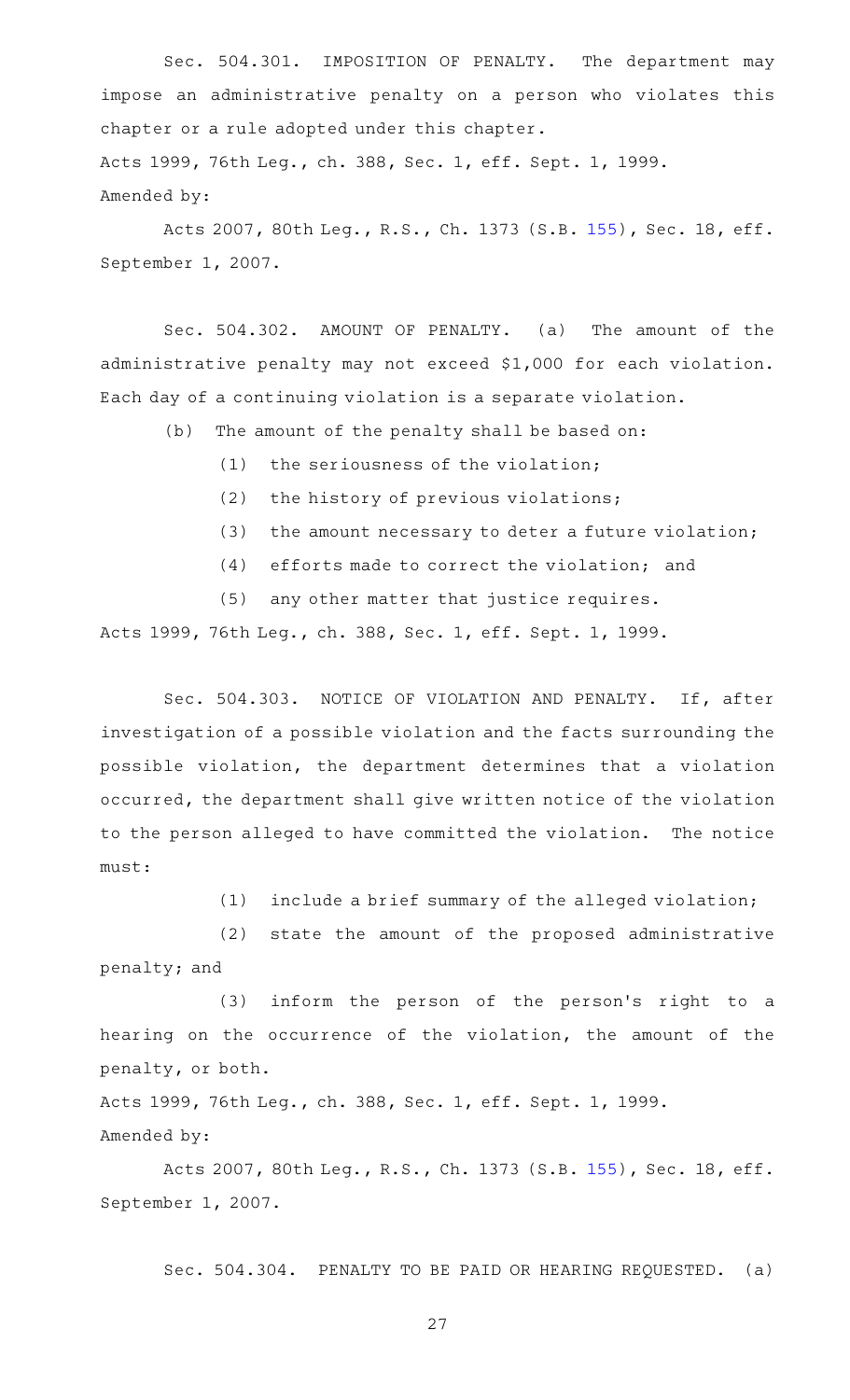Sec. 504.301. IMPOSITION OF PENALTY. The department may impose an administrative penalty on a person who violates this chapter or a rule adopted under this chapter. Acts 1999, 76th Leg., ch. 388, Sec. 1, eff. Sept. 1, 1999.

Amended by:

Acts 2007, 80th Leg., R.S., Ch. 1373 (S.B. [155\)](http://www.legis.state.tx.us/tlodocs/80R/billtext/html/SB00155F.HTM), Sec. 18, eff. September 1, 2007.

Sec. 504.302. AMOUNT OF PENALTY. (a) The amount of the administrative penalty may not exceed \$1,000 for each violation. Each day of a continuing violation is a separate violation.

(b) The amount of the penalty shall be based on:

 $(1)$  the seriousness of the violation;

 $(2)$  the history of previous violations;

 $(3)$  the amount necessary to deter a future violation;

 $(4)$  efforts made to correct the violation; and

(5) any other matter that justice requires.

Acts 1999, 76th Leg., ch. 388, Sec. 1, eff. Sept. 1, 1999.

Sec. 504.303. NOTICE OF VIOLATION AND PENALTY. If, after investigation of a possible violation and the facts surrounding the possible violation, the department determines that a violation occurred, the department shall give written notice of the violation to the person alleged to have committed the violation. The notice must:

 $(1)$  include a brief summary of the alleged violation;

(2) state the amount of the proposed administrative penalty; and

 $(3)$  inform the person of the person's right to a hearing on the occurrence of the violation, the amount of the penalty, or both.

Acts 1999, 76th Leg., ch. 388, Sec. 1, eff. Sept. 1, 1999.

Amended by:

Acts 2007, 80th Leg., R.S., Ch. 1373 (S.B. [155\)](http://www.legis.state.tx.us/tlodocs/80R/billtext/html/SB00155F.HTM), Sec. 18, eff. September 1, 2007.

Sec. 504.304. PENALTY TO BE PAID OR HEARING REQUESTED. (a)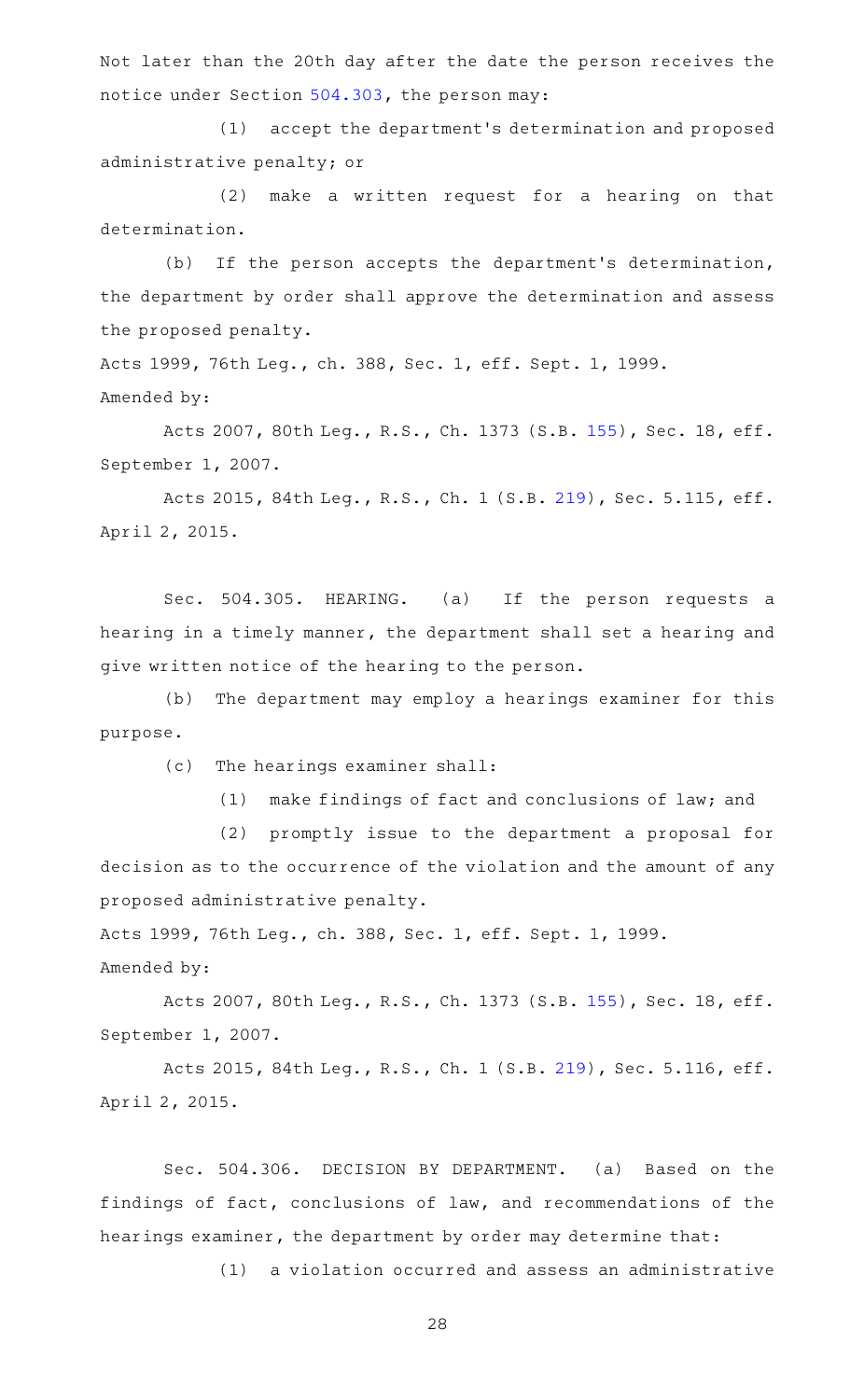Not later than the 20th day after the date the person receives the notice under Section [504.303,](http://www.statutes.legis.state.tx.us/GetStatute.aspx?Code=OC&Value=504.303) the person may:

(1) accept the department's determination and proposed administrative penalty; or

(2) make a written request for a hearing on that determination.

(b) If the person accepts the department's determination, the department by order shall approve the determination and assess the proposed penalty.

Acts 1999, 76th Leg., ch. 388, Sec. 1, eff. Sept. 1, 1999.

Amended by:

Acts 2007, 80th Leg., R.S., Ch. 1373 (S.B. [155\)](http://www.legis.state.tx.us/tlodocs/80R/billtext/html/SB00155F.HTM), Sec. 18, eff. September 1, 2007.

Acts 2015, 84th Leg., R.S., Ch. 1 (S.B. [219](http://www.legis.state.tx.us/tlodocs/84R/billtext/html/SB00219F.HTM)), Sec. 5.115, eff. April 2, 2015.

Sec. 504.305. HEARING. (a) If the person requests a hearing in a timely manner, the department shall set a hearing and give written notice of the hearing to the person.

(b) The department may employ a hearings examiner for this purpose.

(c) The hearings examiner shall:

(1) make findings of fact and conclusions of law; and

(2) promptly issue to the department a proposal for decision as to the occurrence of the violation and the amount of any proposed administrative penalty.

Acts 1999, 76th Leg., ch. 388, Sec. 1, eff. Sept. 1, 1999. Amended by:

Acts 2007, 80th Leg., R.S., Ch. 1373 (S.B. [155\)](http://www.legis.state.tx.us/tlodocs/80R/billtext/html/SB00155F.HTM), Sec. 18, eff. September 1, 2007.

Acts 2015, 84th Leg., R.S., Ch. 1 (S.B. [219](http://www.legis.state.tx.us/tlodocs/84R/billtext/html/SB00219F.HTM)), Sec. 5.116, eff. April 2, 2015.

Sec. 504.306. DECISION BY DEPARTMENT. (a) Based on the findings of fact, conclusions of law, and recommendations of the hearings examiner, the department by order may determine that:

(1) a violation occurred and assess an administrative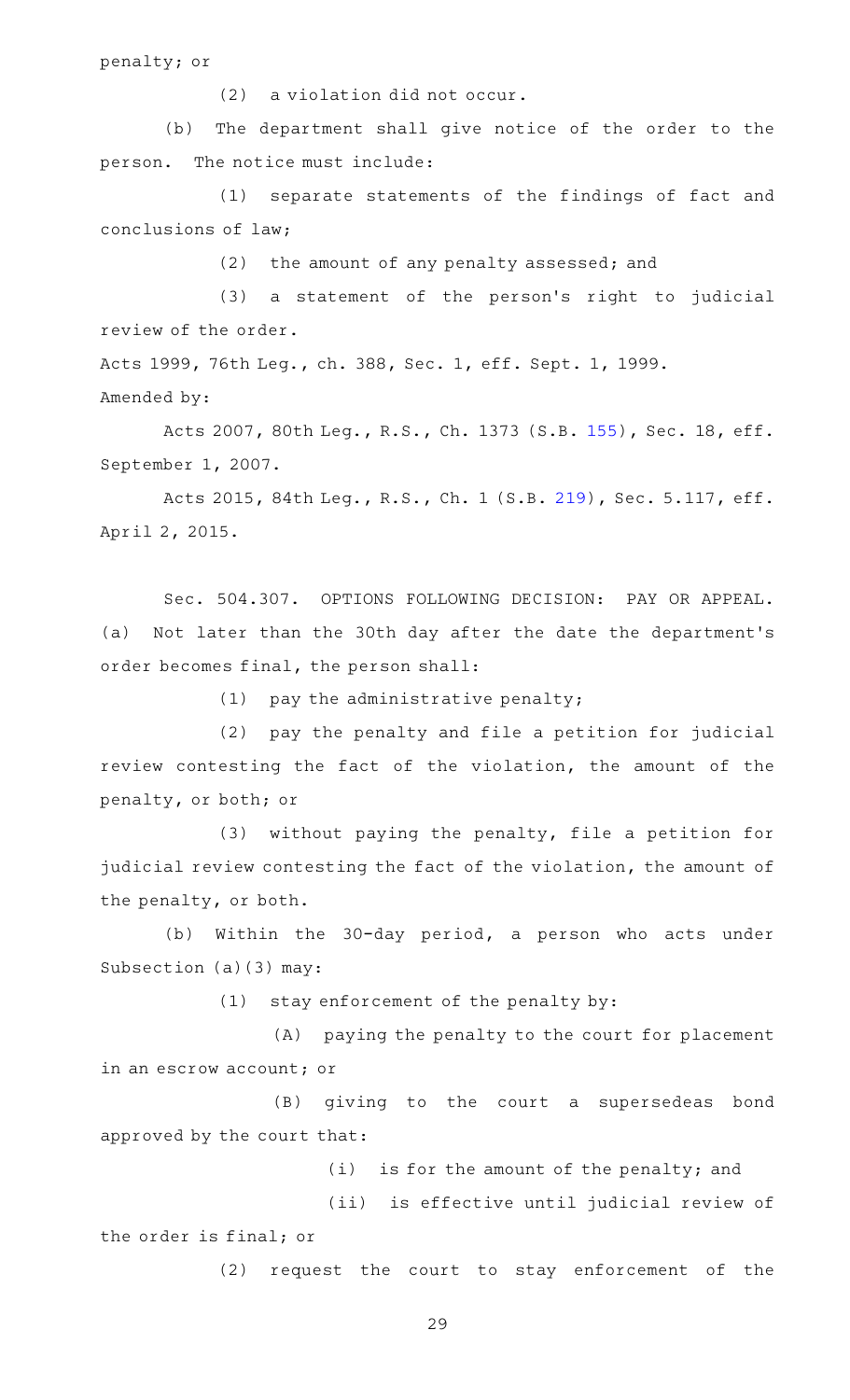penalty; or

 $(2)$  a violation did not occur.

(b) The department shall give notice of the order to the person. The notice must include:

(1) separate statements of the findings of fact and conclusions of law;

(2) the amount of any penalty assessed; and

(3) a statement of the person's right to judicial review of the order.

Acts 1999, 76th Leg., ch. 388, Sec. 1, eff. Sept. 1, 1999.

Amended by:

Acts 2007, 80th Leg., R.S., Ch. 1373 (S.B. [155\)](http://www.legis.state.tx.us/tlodocs/80R/billtext/html/SB00155F.HTM), Sec. 18, eff. September 1, 2007.

Acts 2015, 84th Leg., R.S., Ch. 1 (S.B. [219](http://www.legis.state.tx.us/tlodocs/84R/billtext/html/SB00219F.HTM)), Sec. 5.117, eff. April 2, 2015.

Sec. 504.307. OPTIONS FOLLOWING DECISION: PAY OR APPEAL. (a) Not later than the 30th day after the date the department 's order becomes final, the person shall:

(1) pay the administrative penalty;

(2) pay the penalty and file a petition for judicial review contesting the fact of the violation, the amount of the penalty, or both; or

 $(3)$  without paying the penalty, file a petition for judicial review contesting the fact of the violation, the amount of the penalty, or both.

(b) Within the 30-day period, a person who acts under Subsection (a)(3) may:

 $(1)$  stay enforcement of the penalty by:

(A) paying the penalty to the court for placement in an escrow account; or

(B) giving to the court a supersedeas bond approved by the court that:

 $(i)$  is for the amount of the penalty; and

(ii) is effective until judicial review of the order is final; or

(2) request the court to stay enforcement of the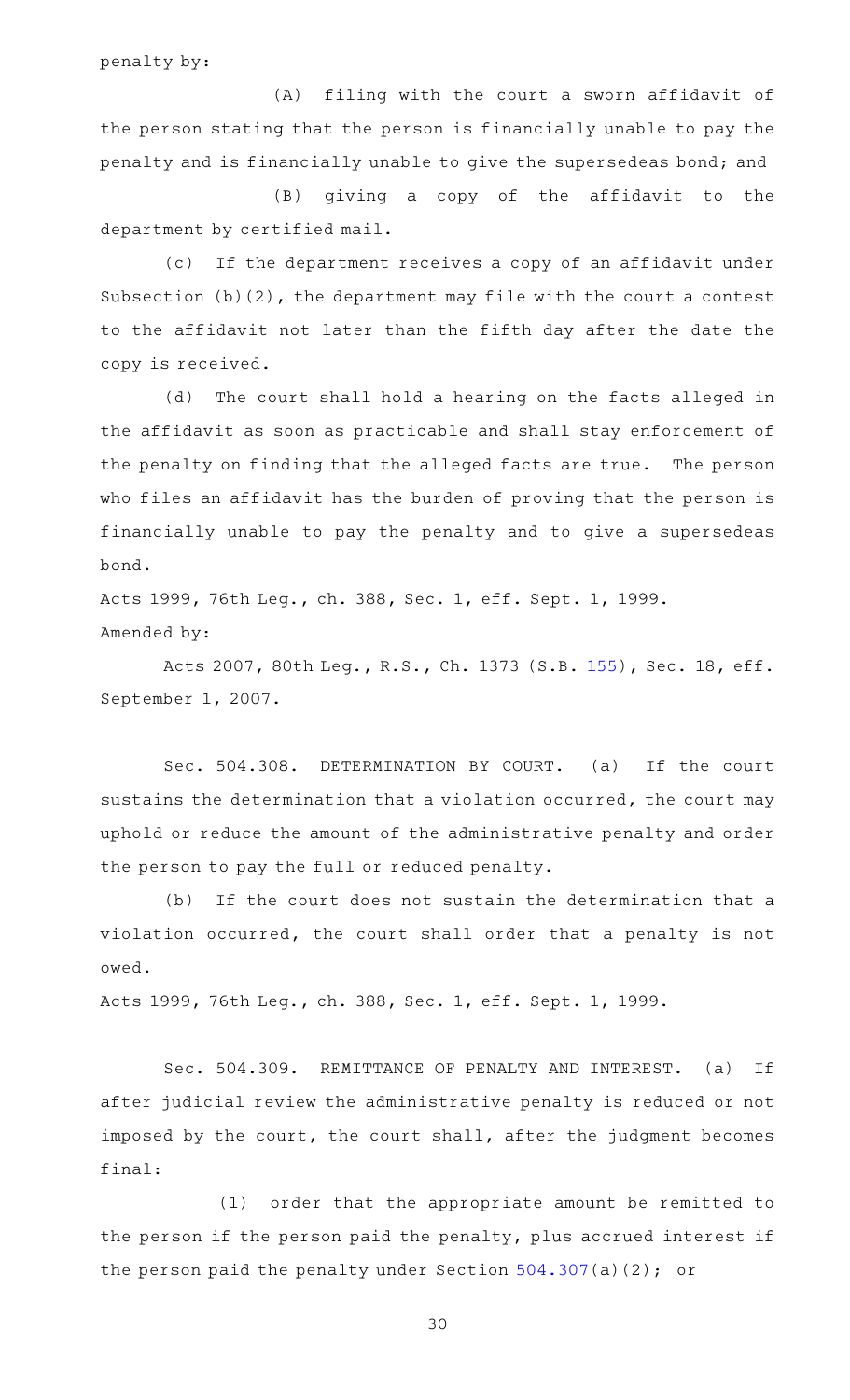penalty by:

(A) filing with the court a sworn affidavit of the person stating that the person is financially unable to pay the penalty and is financially unable to give the supersedeas bond; and

(B) giving a copy of the affidavit to the department by certified mail.

(c) If the department receives a copy of an affidavit under Subsection (b)(2), the department may file with the court a contest to the affidavit not later than the fifth day after the date the copy is received.

(d) The court shall hold a hearing on the facts alleged in the affidavit as soon as practicable and shall stay enforcement of the penalty on finding that the alleged facts are true. The person who files an affidavit has the burden of proving that the person is financially unable to pay the penalty and to give a supersedeas bond.

Acts 1999, 76th Leg., ch. 388, Sec. 1, eff. Sept. 1, 1999. Amended by:

Acts 2007, 80th Leg., R.S., Ch. 1373 (S.B. [155\)](http://www.legis.state.tx.us/tlodocs/80R/billtext/html/SB00155F.HTM), Sec. 18, eff. September 1, 2007.

Sec. 504.308. DETERMINATION BY COURT. (a) If the court sustains the determination that a violation occurred, the court may uphold or reduce the amount of the administrative penalty and order the person to pay the full or reduced penalty.

(b) If the court does not sustain the determination that a violation occurred, the court shall order that a penalty is not owed.

Acts 1999, 76th Leg., ch. 388, Sec. 1, eff. Sept. 1, 1999.

Sec. 504.309. REMITTANCE OF PENALTY AND INTEREST. (a) If after judicial review the administrative penalty is reduced or not imposed by the court, the court shall, after the judgment becomes final:

(1) order that the appropriate amount be remitted to the person if the person paid the penalty, plus accrued interest if the person paid the penalty under Section [504.307](http://www.statutes.legis.state.tx.us/GetStatute.aspx?Code=OC&Value=504.307)(a)(2); or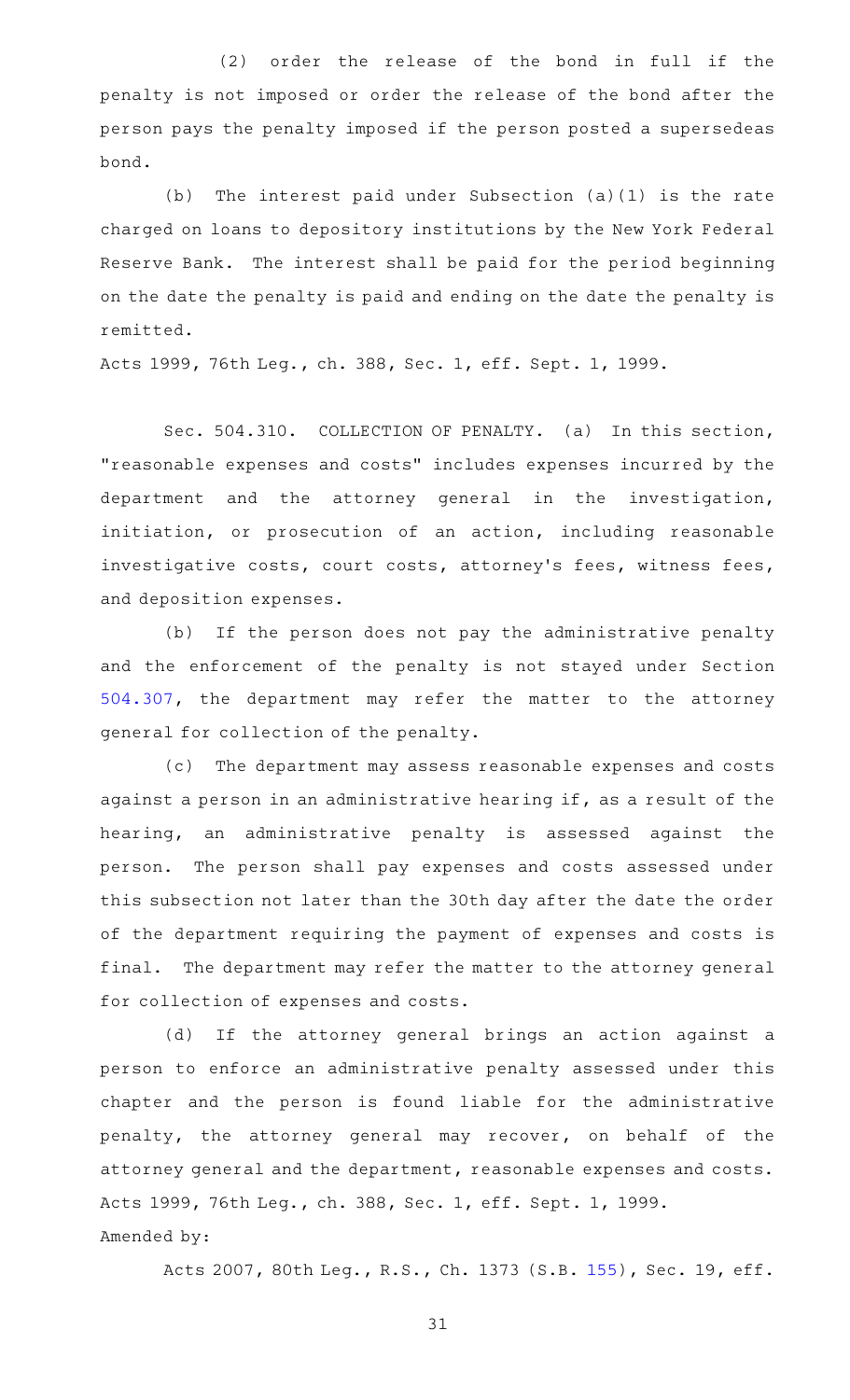(2) order the release of the bond in full if the penalty is not imposed or order the release of the bond after the person pays the penalty imposed if the person posted a supersedeas bond.

(b) The interest paid under Subsection  $(a)(1)$  is the rate charged on loans to depository institutions by the New York Federal Reserve Bank. The interest shall be paid for the period beginning on the date the penalty is paid and ending on the date the penalty is remitted.

Acts 1999, 76th Leg., ch. 388, Sec. 1, eff. Sept. 1, 1999.

Sec. 504.310. COLLECTION OF PENALTY. (a) In this section, "reasonable expenses and costs" includes expenses incurred by the department and the attorney general in the investigation, initiation, or prosecution of an action, including reasonable investigative costs, court costs, attorney's fees, witness fees, and deposition expenses.

(b) If the person does not pay the administrative penalty and the enforcement of the penalty is not stayed under Section [504.307,](http://www.statutes.legis.state.tx.us/GetStatute.aspx?Code=OC&Value=504.307) the department may refer the matter to the attorney general for collection of the penalty.

(c) The department may assess reasonable expenses and costs against a person in an administrative hearing if, as a result of the hearing, an administrative penalty is assessed against the person. The person shall pay expenses and costs assessed under this subsection not later than the 30th day after the date the order of the department requiring the payment of expenses and costs is final. The department may refer the matter to the attorney general for collection of expenses and costs.

(d) If the attorney general brings an action against a person to enforce an administrative penalty assessed under this chapter and the person is found liable for the administrative penalty, the attorney general may recover, on behalf of the attorney general and the department, reasonable expenses and costs. Acts 1999, 76th Leg., ch. 388, Sec. 1, eff. Sept. 1, 1999. Amended by:

Acts 2007, 80th Leg., R.S., Ch. 1373 (S.B. [155\)](http://www.legis.state.tx.us/tlodocs/80R/billtext/html/SB00155F.HTM), Sec. 19, eff.